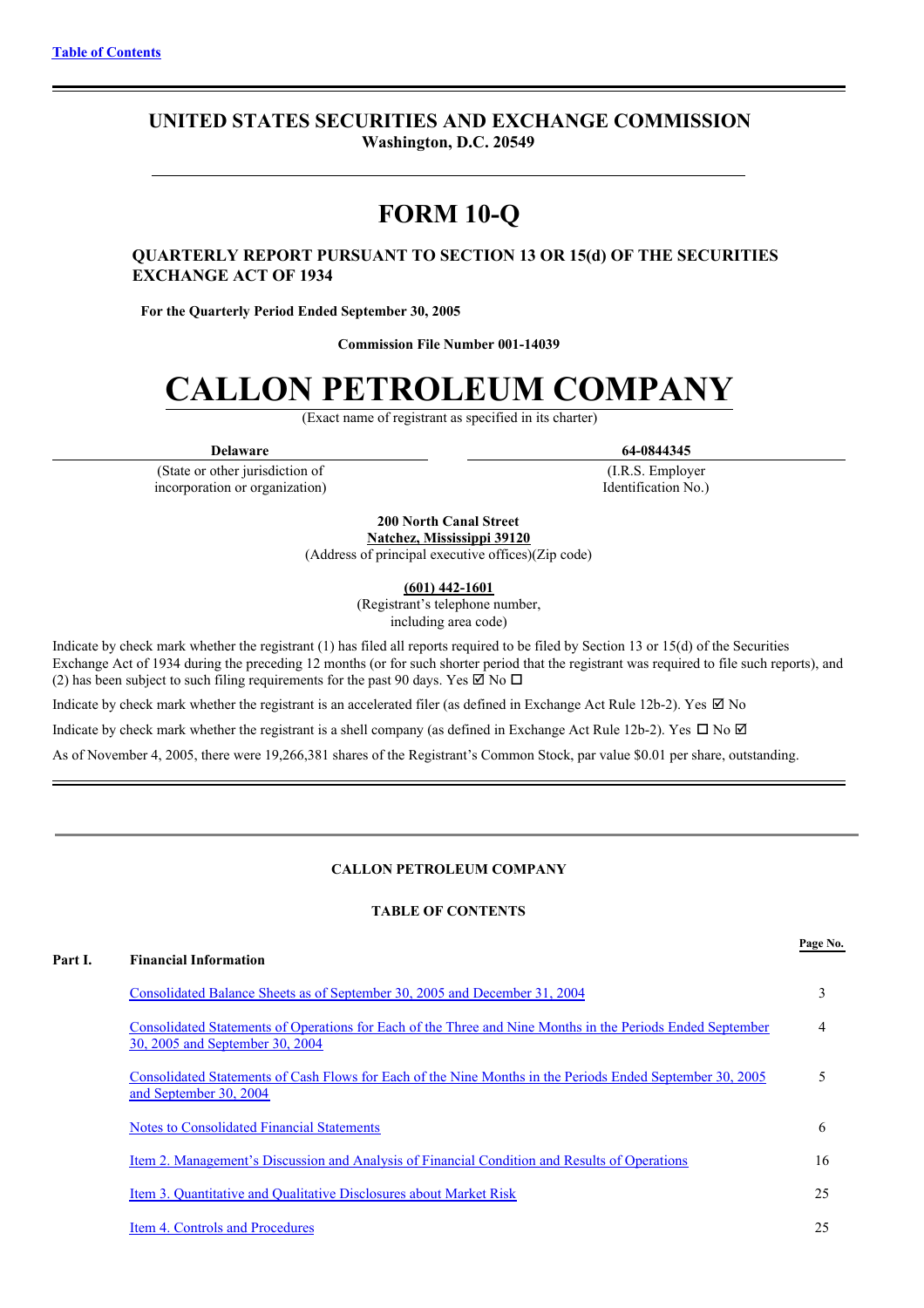# <span id="page-0-0"></span>**UNITED STATES SECURITIES AND EXCHANGE COMMISSION Washington, D.C. 20549**

# **FORM 10-Q**

**QUARTERLY REPORT PURSUANT TO SECTION 13 OR 15(d) OF THE SECURITIES EXCHANGE ACT OF 1934**

**For the Quarterly Period Ended September 30, 2005**

**Commission File Number 001-14039**

# **CALLON PETROLEUM COMPANY**

(Exact name of registrant as specified in its charter)

(State or other jurisdiction of (I.R.S. Employer incorporation or organization) and incorporation No.) Identification No.

**Delaware 64-0844345**

**Page No.**

**200 North Canal Street**

**Natchez, Mississippi 39120** (Address of principal executive offices)(Zip code)

**(601) 442-1601**

(Registrant's telephone number, including area code)

Indicate by check mark whether the registrant (1) has filed all reports required to be filed by Section 13 or 15(d) of the Securities Exchange Act of 1934 during the preceding 12 months (or for such shorter period that the registrant was required to file such reports), and (2) has been subject to such filing requirements for the past 90 days. Yes  $\boxtimes$  No  $\Box$ 

Indicate by check mark whether the registrant is an accelerated filer (as defined in Exchange Act Rule 12b-2). Yes  $\boxtimes$  No

Indicate by check mark whether the registrant is a shell company (as defined in Exchange Act Rule 12b-2). Yes  $\Box$  No  $\Box$ 

As of November 4, 2005, there were 19,266,381 shares of the Registrant's Common Stock, par value \$0.01 per share, outstanding.

# **CALLON PETROLEUM COMPANY**

# **TABLE OF CONTENTS**

| Part I. | <b>Financial Information</b>                                                                                                                  |    |
|---------|-----------------------------------------------------------------------------------------------------------------------------------------------|----|
|         | Consolidated Balance Sheets as of September 30, 2005 and December 31, 2004                                                                    | 3  |
|         | Consolidated Statements of Operations for Each of the Three and Nine Months in the Periods Ended September<br>30, 2005 and September 30, 2004 | 4  |
|         | Consolidated Statements of Cash Flows for Each of the Nine Months in the Periods Ended September 30, 2005<br>and September 30, 2004           |    |
|         | <b>Notes to Consolidated Financial Statements</b>                                                                                             | 6  |
|         | Item 2. Management's Discussion and Analysis of Financial Condition and Results of Operations                                                 | 16 |
|         | Item 3. Quantitative and Qualitative Disclosures about Market Risk                                                                            | 25 |
|         | Item 4. Controls and Procedures                                                                                                               | 25 |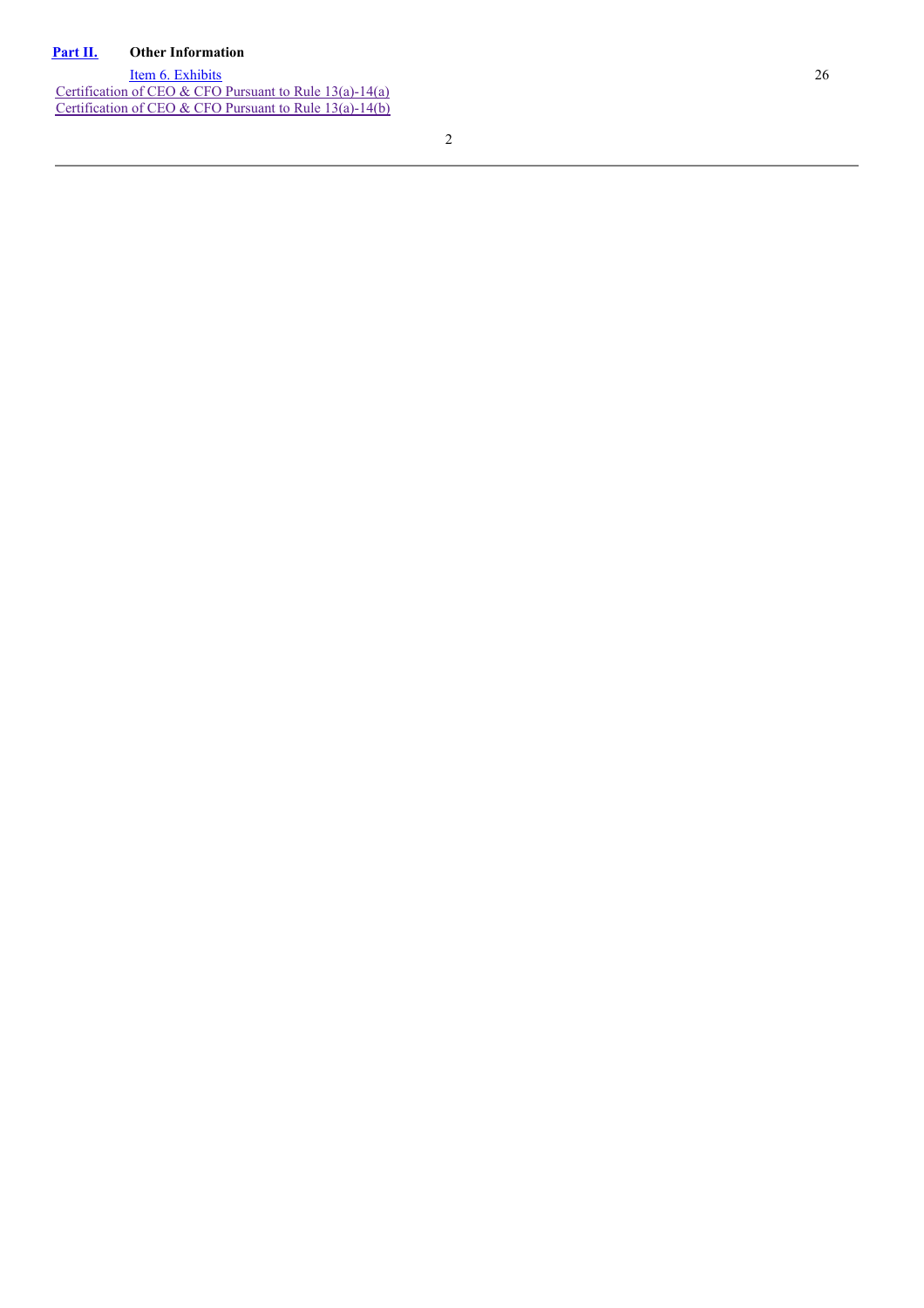#### **[P](#page-0-0)art II.** Other Information

Ite[m](#page-0-0) 6. Exhibits Certification of CEO & CFO Pursuant to [Ru](#page-30-0)le  $13(a) - 14(a)$ Certification of CEO & CFO Pursuant to [Ru](#page-32-0)le 13(a)-14(b)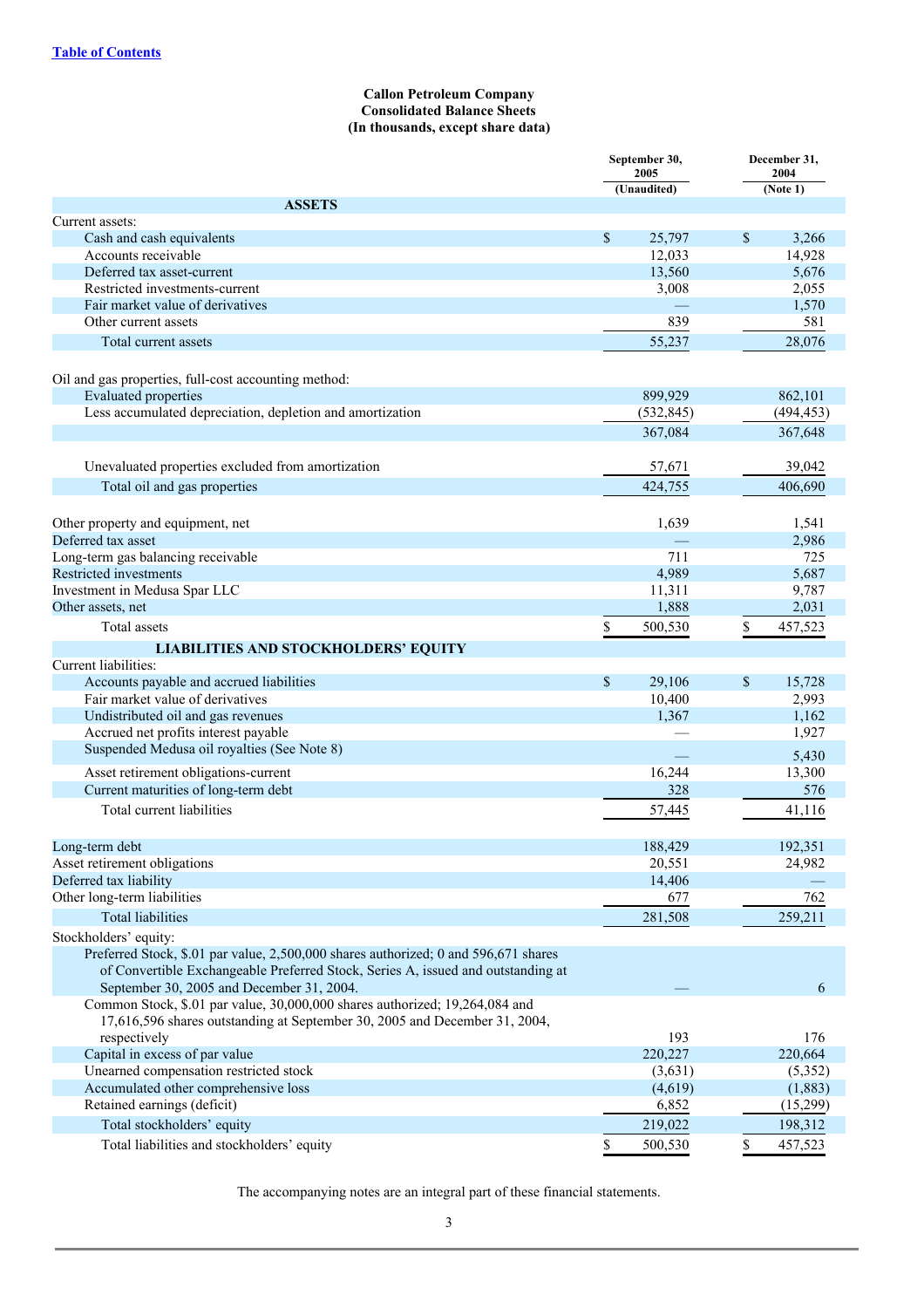# **Callon Petroleum Company Consolidated Balance Sheets (In thousands, except share data)**

|                                                                                                                               | September 30,       | December 31,     |
|-------------------------------------------------------------------------------------------------------------------------------|---------------------|------------------|
|                                                                                                                               | 2005<br>(Unaudited) | 2004<br>(Note 1) |
| <b>ASSETS</b>                                                                                                                 |                     |                  |
| Current assets:                                                                                                               |                     |                  |
| Cash and cash equivalents                                                                                                     | \$<br>25,797        | \$<br>3,266      |
| Accounts receivable                                                                                                           | 12,033              | 14,928           |
| Deferred tax asset-current                                                                                                    | 13,560              | 5,676            |
| Restricted investments-current                                                                                                | 3,008               | 2,055            |
| Fair market value of derivatives                                                                                              |                     | 1,570            |
| Other current assets                                                                                                          | 839                 | 581              |
| Total current assets                                                                                                          | 55,237              | 28,076           |
| Oil and gas properties, full-cost accounting method:                                                                          |                     |                  |
| <b>Evaluated properties</b>                                                                                                   | 899,929             | 862,101          |
| Less accumulated depreciation, depletion and amortization                                                                     | (532, 845)          | (494, 453)       |
|                                                                                                                               | 367,084             | 367,648          |
|                                                                                                                               |                     |                  |
| Unevaluated properties excluded from amortization                                                                             | 57,671              | 39,042           |
| Total oil and gas properties                                                                                                  | 424,755             | 406,690          |
|                                                                                                                               |                     |                  |
| Other property and equipment, net<br>Deferred tax asset                                                                       | 1,639               | 1,541<br>2,986   |
| Long-term gas balancing receivable                                                                                            | 711                 | 725              |
| Restricted investments                                                                                                        | 4,989               | 5,687            |
| Investment in Medusa Spar LLC                                                                                                 | 11,311              | 9,787            |
| Other assets, net                                                                                                             | 1,888               | 2,031            |
| Total assets                                                                                                                  | \$<br>500,530       | \$<br>457,523    |
|                                                                                                                               |                     |                  |
| <b>LIABILITIES AND STOCKHOLDERS' EQUITY</b><br>Current liabilities:                                                           |                     |                  |
| Accounts payable and accrued liabilities                                                                                      | \$<br>29,106        | \$<br>15,728     |
| Fair market value of derivatives                                                                                              | 10,400              | 2,993            |
| Undistributed oil and gas revenues                                                                                            | 1,367               | 1,162            |
| Accrued net profits interest payable                                                                                          |                     | 1,927            |
| Suspended Medusa oil royalties (See Note 8)                                                                                   |                     |                  |
|                                                                                                                               |                     | 5,430            |
| Asset retirement obligations-current                                                                                          | 16,244              | 13,300           |
| Current maturities of long-term debt                                                                                          | 328                 | 576              |
| Total current liabilities                                                                                                     | 57,445              | 41,116           |
| Long-term debt                                                                                                                | 188,429             | 192,351          |
| Asset retirement obligations                                                                                                  | 20,551              | 24,982           |
| Deferred tax liability                                                                                                        | 14,406              |                  |
| Other long-term liabilities                                                                                                   | 677                 | 762              |
| <b>Total liabilities</b>                                                                                                      | 281,508             | 259,211          |
| Stockholders' equity:                                                                                                         |                     |                  |
| Preferred Stock, \$.01 par value, 2,500,000 shares authorized; 0 and 596,671 shares                                           |                     |                  |
| of Convertible Exchangeable Preferred Stock, Series A, issued and outstanding at<br>September 30, 2005 and December 31, 2004. |                     | 6                |
| Common Stock, \$.01 par value, 30,000,000 shares authorized; 19,264,084 and                                                   |                     |                  |
| 17,616,596 shares outstanding at September 30, 2005 and December 31, 2004,                                                    |                     |                  |
| respectively                                                                                                                  | 193                 | 176              |
| Capital in excess of par value                                                                                                | 220,227             | 220,664          |
| Unearned compensation restricted stock                                                                                        | (3,631)             | (5,352)          |
| Accumulated other comprehensive loss                                                                                          | (4,619)             | (1,883)          |
| Retained earnings (deficit)                                                                                                   | 6,852               | (15,299)         |
| Total stockholders' equity                                                                                                    | 219,022             | 198,312          |
| Total liabilities and stockholders' equity                                                                                    | \$<br>500,530       | \$<br>457,523    |

The accompanying notes are an integral part of these financial statements.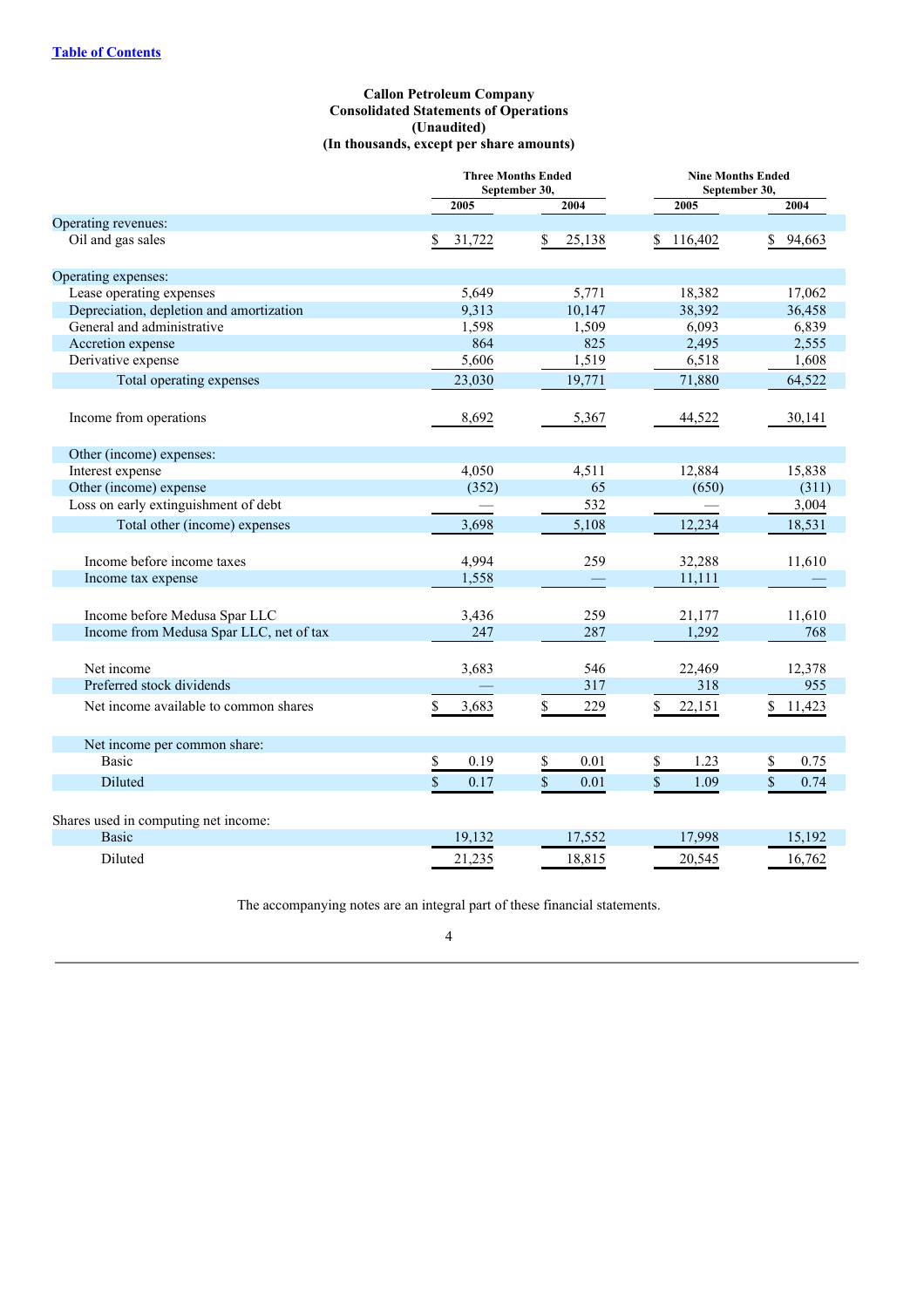# **Callon Petroleum Company Consolidated Statements of Operations (Unaudited) (In thousands, except per share amounts)**

|                                          |              | <b>Three Months Ended</b> | <b>Nine Months Ended</b> |              |
|------------------------------------------|--------------|---------------------------|--------------------------|--------------|
|                                          |              | September 30,             | September 30,            |              |
|                                          | 2005         | 2004                      | 2005                     | 2004         |
| Operating revenues:                      |              |                           |                          |              |
| Oil and gas sales                        | \$<br>31,722 | \$<br>25,138              | \$<br>116,402            | \$<br>94,663 |
| Operating expenses:                      |              |                           |                          |              |
| Lease operating expenses                 | 5,649        | 5,771                     | 18,382                   | 17,062       |
| Depreciation, depletion and amortization | 9,313        | 10,147                    | 38,392                   | 36,458       |
| General and administrative               | 1,598        | 1,509                     | 6,093                    | 6,839        |
| Accretion expense                        | 864          | 825                       | 2,495                    | 2,555        |
| Derivative expense                       | 5,606        | 1,519                     | 6,518                    | 1,608        |
| Total operating expenses                 | 23,030       | 19,771                    | 71,880                   | 64,522       |
| Income from operations                   | 8,692        | 5,367                     | 44,522                   | 30,141       |
| Other (income) expenses:                 |              |                           |                          |              |
| Interest expense                         | 4,050        | 4,511                     | 12,884                   | 15,838       |
| Other (income) expense                   | (352)        | 65                        | (650)                    | (311)        |
| Loss on early extinguishment of debt     |              | 532                       |                          | 3,004        |
| Total other (income) expenses            | 3,698        | 5,108                     | 12,234                   | 18,531       |
| Income before income taxes               | 4,994        | 259                       | 32,288                   | 11,610       |
| Income tax expense                       | 1,558        |                           | 11,111                   |              |
| Income before Medusa Spar LLC            | 3,436        | 259                       | 21,177                   | 11,610       |
| Income from Medusa Spar LLC, net of tax  | 247          | 287                       | 1,292                    | 768          |
|                                          |              |                           |                          |              |
| Net income                               | 3,683        | 546                       | 22,469                   | 12,378       |
| Preferred stock dividends                |              | 317                       | 318                      | 955          |
| Net income available to common shares    | \$<br>3,683  | \$<br>229                 | \$<br>22,151             | \$11,423     |
| Net income per common share:             |              |                           |                          |              |
| <b>Basic</b>                             | \$<br>0.19   | \$<br>0.01                | \$<br>1.23               | \$<br>0.75   |
| Diluted                                  | \$<br>0.17   | \$<br>0.01                | \$<br>1.09               | \$<br>0.74   |
| Shares used in computing net income:     |              |                           |                          |              |
| <b>Basic</b>                             | 19.132       | 17,552                    | 17,998                   | 15,192       |
| Diluted                                  | 21,235       | 18,815                    | 20,545                   | 16,762       |

The accompanying notes are an integral part of these financial statements.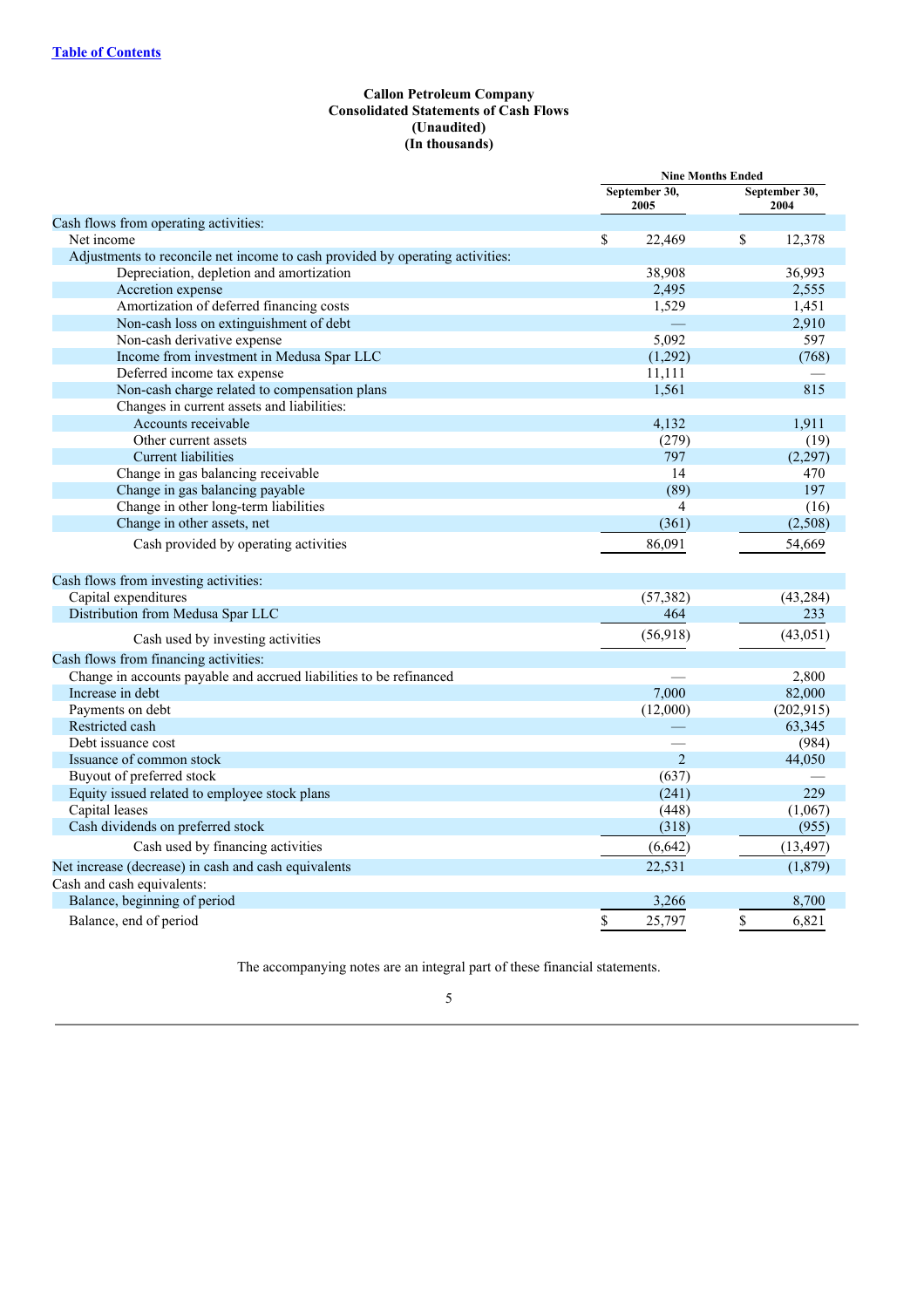# **Callon Petroleum Company Consolidated Statements of Cash Flows (Unaudited) (In thousands)**

|                                                                               | <b>Nine Months Ended</b> |                       |    |                       |
|-------------------------------------------------------------------------------|--------------------------|-----------------------|----|-----------------------|
|                                                                               |                          | September 30,<br>2005 |    | September 30,<br>2004 |
| Cash flows from operating activities:                                         |                          |                       |    |                       |
| Net income                                                                    | \$                       | 22,469                | \$ | 12,378                |
| Adjustments to reconcile net income to cash provided by operating activities: |                          |                       |    |                       |
| Depreciation, depletion and amortization                                      |                          | 38.908                |    | 36,993                |
| Accretion expense                                                             |                          | 2,495                 |    | 2,555                 |
| Amortization of deferred financing costs                                      |                          | 1,529                 |    | 1,451                 |
| Non-cash loss on extinguishment of debt                                       |                          |                       |    | 2,910                 |
| Non-cash derivative expense                                                   |                          | 5,092                 |    | 597                   |
| Income from investment in Medusa Spar LLC                                     |                          | (1,292)               |    | (768)                 |
| Deferred income tax expense                                                   |                          | 11,111                |    |                       |
| Non-cash charge related to compensation plans                                 |                          | 1,561                 |    | 815                   |
| Changes in current assets and liabilities:                                    |                          |                       |    |                       |
| Accounts receivable                                                           |                          | 4,132                 |    | 1.911                 |
| Other current assets                                                          |                          | (279)                 |    | (19)                  |
| <b>Current liabilities</b>                                                    |                          | 797                   |    | (2,297)               |
| Change in gas balancing receivable                                            |                          | 14                    |    | 470                   |
| Change in gas balancing payable                                               |                          | (89)                  |    | 197                   |
| Change in other long-term liabilities                                         |                          | $\overline{4}$        |    | (16)                  |
| Change in other assets, net                                                   |                          | (361)                 |    | (2,508)               |
| Cash provided by operating activities                                         |                          | 86,091                |    | 54,669                |
| Cash flows from investing activities:                                         |                          |                       |    |                       |
| Capital expenditures                                                          |                          | (57, 382)             |    | (43, 284)             |
| Distribution from Medusa Spar LLC                                             |                          | 464                   |    | 233                   |
| Cash used by investing activities                                             |                          | (56, 918)             |    | (43, 051)             |
| Cash flows from financing activities:                                         |                          |                       |    |                       |
| Change in accounts payable and accrued liabilities to be refinanced           |                          |                       |    | 2,800                 |
| Increase in debt                                                              |                          | 7,000                 |    | 82,000                |
| Payments on debt                                                              |                          | (12,000)              |    | (202, 915)            |
| Restricted cash                                                               |                          |                       |    | 63,345                |
| Debt issuance cost                                                            |                          |                       |    | (984)                 |
| Issuance of common stock                                                      |                          | $\overline{2}$        |    | 44,050                |
| Buyout of preferred stock                                                     |                          | (637)                 |    |                       |
| Equity issued related to employee stock plans                                 |                          | (241)                 |    | 229                   |
| Capital leases                                                                |                          | (448)                 |    | (1,067)               |
| Cash dividends on preferred stock                                             |                          | (318)                 |    | (955)                 |
| Cash used by financing activities                                             |                          | (6, 642)              |    | (13, 497)             |
| Net increase (decrease) in cash and cash equivalents                          |                          | 22,531                |    | (1, 879)              |
| Cash and cash equivalents:                                                    |                          |                       |    |                       |
| Balance, beginning of period                                                  |                          | 3,266                 |    | 8,700                 |
| Balance, end of period                                                        | \$                       | 25,797                | \$ | 6,821                 |

The accompanying notes are an integral part of these financial statements.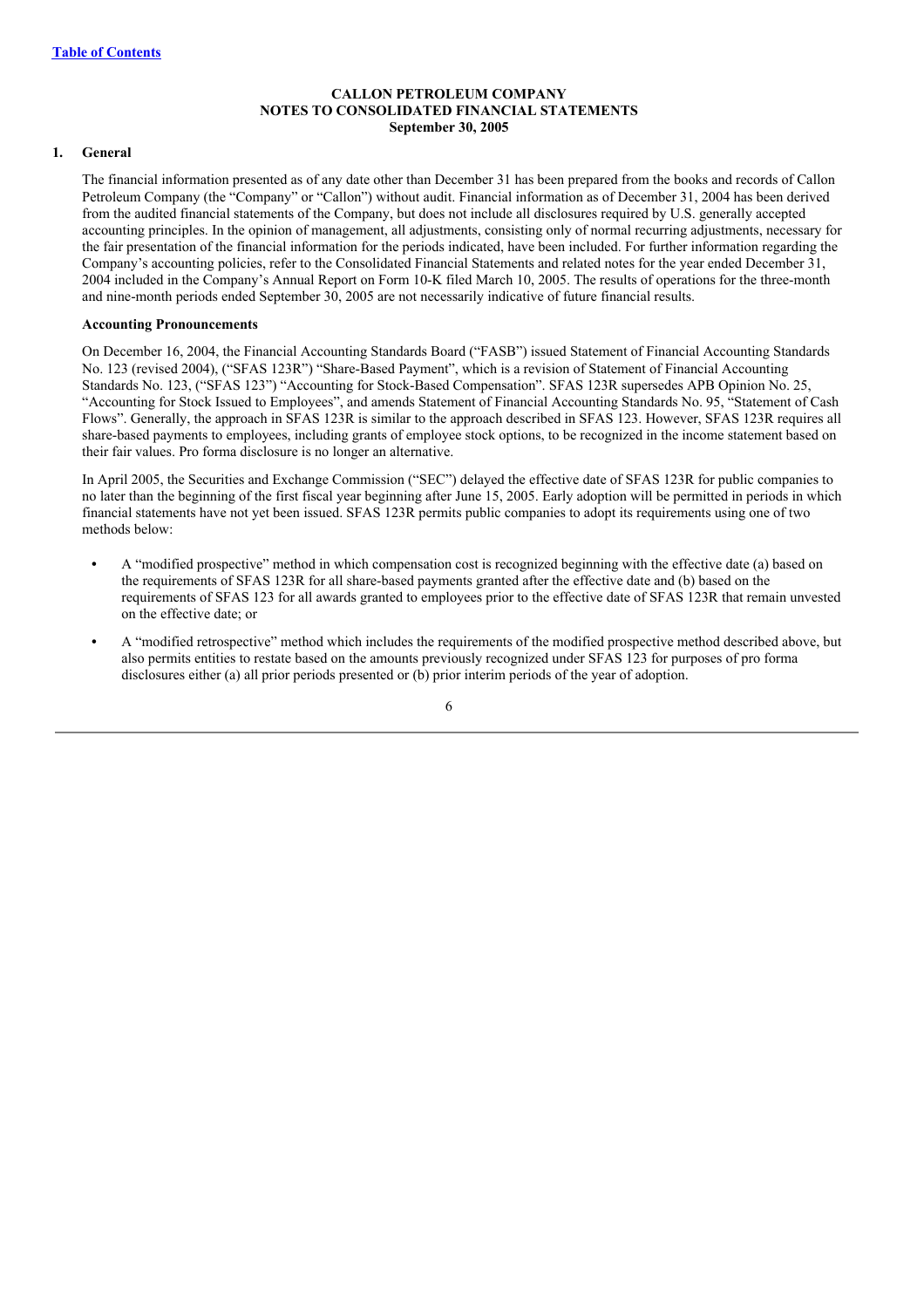# **CALLON PETROLEUM COMPANY NOTES TO CONSOLIDATED FINANCIAL STATEMENTS September 30, 2005**

# **1. General**

The financial information presented as of any date other than December 31 has been prepared from the books and records of Callon Petroleum Company (the "Company" or "Callon") without audit. Financial information as of December 31, 2004 has been derived from the audited financial statements of the Company, but does not include all disclosures required by U.S. generally accepted accounting principles. In the opinion of management, all adjustments, consisting only of normal recurring adjustments, necessary for the fair presentation of the financial information for the periods indicated, have been included. For further information regarding the Company's accounting policies, refer to the Consolidated Financial Statements and related notes for the year ended December 31, 2004 included in the Company's Annual Report on Form 10-K filed March 10, 2005. The results of operations for the three-month and nine-month periods ended September 30, 2005 are not necessarily indicative of future financial results.

#### **Accounting Pronouncements**

On December 16, 2004, the Financial Accounting Standards Board ("FASB") issued Statement of Financial Accounting Standards No. 123 (revised 2004), ("SFAS 123R") "Share-Based Payment", which is a revision of Statement of Financial Accounting Standards No. 123, ("SFAS 123") "Accounting for Stock-Based Compensation". SFAS 123R supersedes APB Opinion No. 25, "Accounting for Stock Issued to Employees", and amends Statement of Financial Accounting Standards No. 95, "Statement of Cash Flows". Generally, the approach in SFAS 123R is similar to the approach described in SFAS 123. However, SFAS 123R requires all share-based payments to employees, including grants of employee stock options, to be recognized in the income statement based on their fair values. Pro forma disclosure is no longer an alternative.

In April 2005, the Securities and Exchange Commission ("SEC") delayed the effective date of SFAS 123R for public companies to no later than the beginning of the first fiscal year beginning after June 15, 2005. Early adoption will be permitted in periods in which financial statements have not yet been issued. SFAS 123R permits public companies to adopt its requirements using one of two methods below:

- **•** A "modified prospective" method in which compensation cost is recognized beginning with the effective date (a) based on the requirements of SFAS 123R for all share-based payments granted after the effective date and (b) based on the requirements of SFAS 123 for all awards granted to employees prior to the effective date of SFAS 123R that remain unvested on the effective date; or
- **•** A "modified retrospective" method which includes the requirements of the modified prospective method described above, but also permits entities to restate based on the amounts previously recognized under SFAS 123 for purposes of pro forma disclosures either (a) all prior periods presented or (b) prior interim periods of the year of adoption.

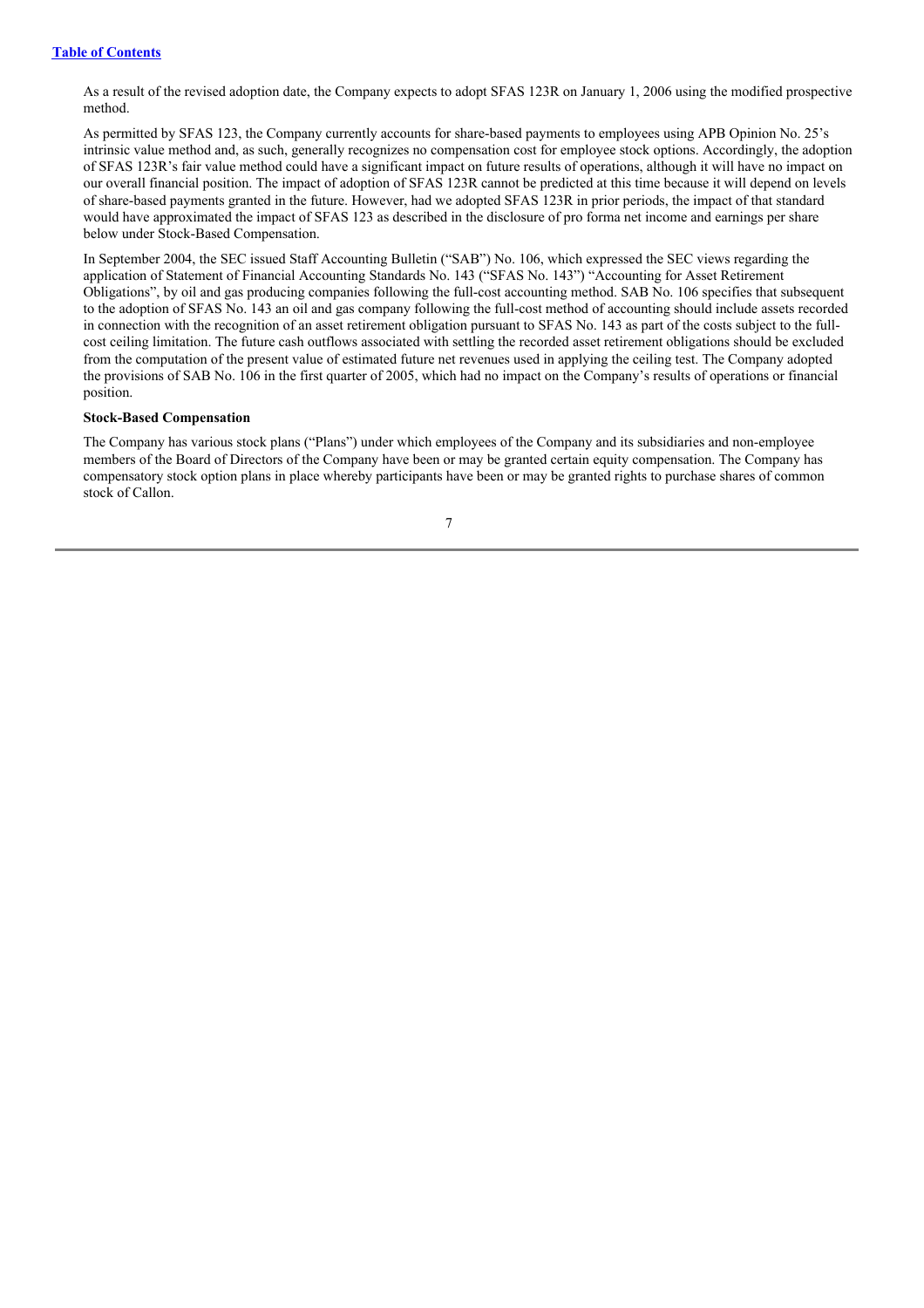As a result of the revised adoption date, the Company expects to adopt SFAS 123R on January 1, 2006 using the modified prospective method.

As permitted by SFAS 123, the Company currently accounts for share-based payments to employees using APB Opinion No. 25's intrinsic value method and, as such, generally recognizes no compensation cost for employee stock options. Accordingly, the adoption of SFAS 123R's fair value method could have a significant impact on future results of operations, although it will have no impact on our overall financial position. The impact of adoption of SFAS 123R cannot be predicted at this time because it will depend on levels of share-based payments granted in the future. However, had we adopted SFAS 123R in prior periods, the impact of that standard would have approximated the impact of SFAS 123 as described in the disclosure of pro forma net income and earnings per share below under Stock-Based Compensation.

In September 2004, the SEC issued Staff Accounting Bulletin ("SAB") No. 106, which expressed the SEC views regarding the application of Statement of Financial Accounting Standards No. 143 ("SFAS No. 143") "Accounting for Asset Retirement Obligations", by oil and gas producing companies following the full-cost accounting method. SAB No. 106 specifies that subsequent to the adoption of SFAS No. 143 an oil and gas company following the full-cost method of accounting should include assets recorded in connection with the recognition of an asset retirement obligation pursuant to SFAS No. 143 as part of the costs subject to the fullcost ceiling limitation. The future cash outflows associated with settling the recorded asset retirement obligations should be excluded from the computation of the present value of estimated future net revenues used in applying the ceiling test. The Company adopted the provisions of SAB No. 106 in the first quarter of 2005, which had no impact on the Company's results of operations or financial position.

#### **Stock-Based Compensation**

The Company has various stock plans ("Plans") under which employees of the Company and its subsidiaries and non-employee members of the Board of Directors of the Company have been or may be granted certain equity compensation. The Company has compensatory stock option plans in place whereby participants have been or may be granted rights to purchase shares of common stock of Callon.

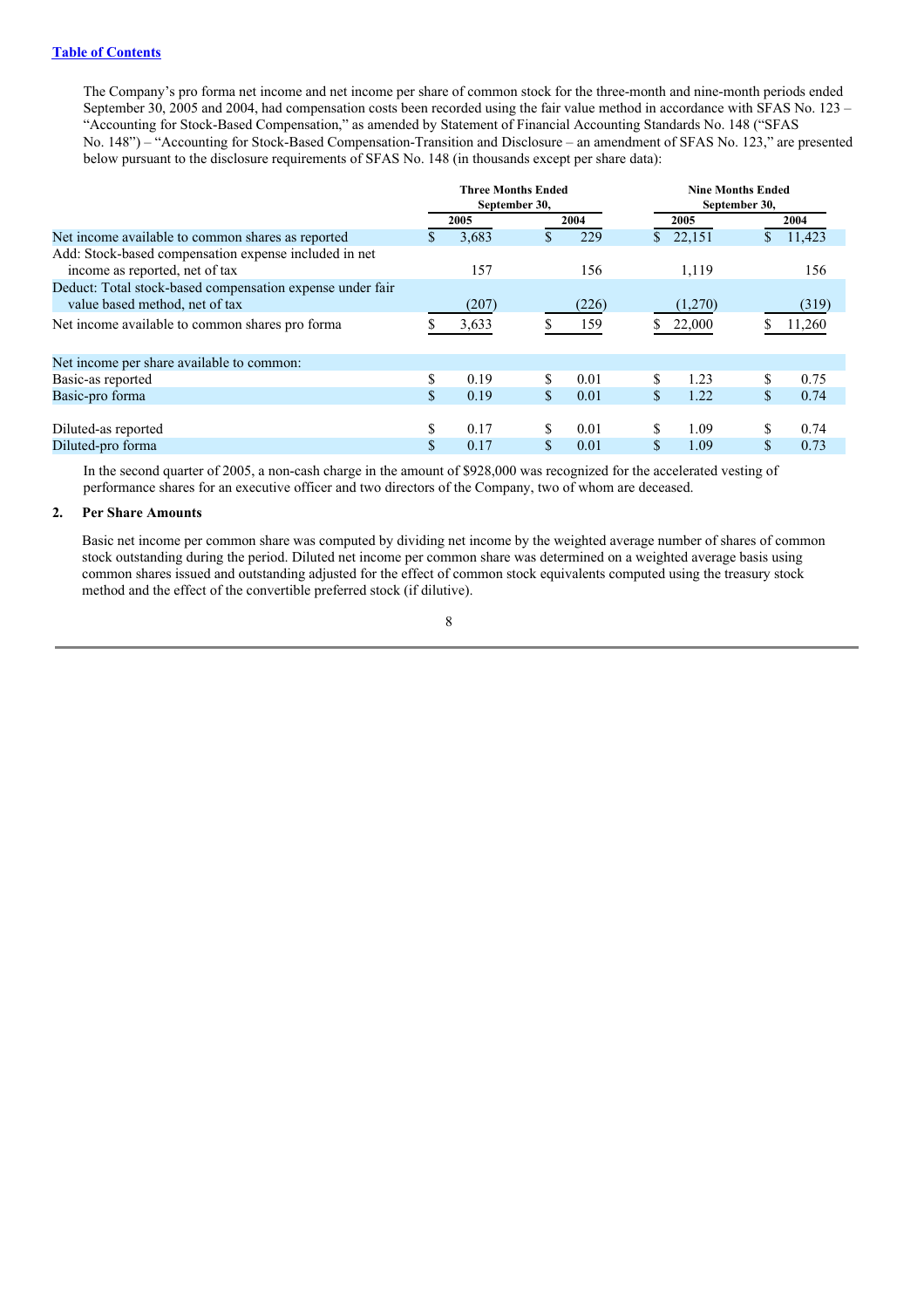The Company's pro forma net income and net income per share of common stock for the three-month and nine-month periods ended September 30, 2005 and 2004, had compensation costs been recorded using the fair value method in accordance with SFAS No. 123 – "Accounting for Stock-Based Compensation," as amended by Statement of Financial Accounting Standards No. 148 ("SFAS No. 148") – "Accounting for Stock-Based Compensation-Transition and Disclosure – an amendment of SFAS No. 123," are presented below pursuant to the disclosure requirements of SFAS No. 148 (in thousands except per share data):

|                                                           | <b>Three Months Ended</b><br>September 30, |       |    |       |    | <b>Nine Months Ended</b> | September 30, |        |  |
|-----------------------------------------------------------|--------------------------------------------|-------|----|-------|----|--------------------------|---------------|--------|--|
|                                                           |                                            | 2005  |    | 2004  |    | 2005                     |               | 2004   |  |
| Net income available to common shares as reported         | S.                                         | 3,683 |    | 229   |    | \$22,151                 | \$            | 11,423 |  |
| Add: Stock-based compensation expense included in net     |                                            |       |    |       |    |                          |               |        |  |
| income as reported, net of tax                            |                                            | 157   |    | 156   |    | 1,119                    |               | 156    |  |
| Deduct: Total stock-based compensation expense under fair |                                            |       |    |       |    |                          |               |        |  |
| value based method, net of tax                            |                                            | (207) |    | (226) |    | (1,270)                  |               | (319)  |  |
| Net income available to common shares pro forma           |                                            | 3,633 |    | 159   |    | 22,000                   |               | 11,260 |  |
| Net income per share available to common:                 |                                            |       |    |       |    |                          |               |        |  |
| Basic-as reported                                         | \$                                         | 0.19  | S. | 0.01  | \$ | 1.23                     | \$            | 0.75   |  |
| Basic-pro forma                                           | \$                                         | 0.19  | \$ | 0.01  | \$ | 1.22                     | \$            | 0.74   |  |
|                                                           |                                            |       |    |       |    |                          |               |        |  |
| Diluted-as reported                                       | \$                                         | 0.17  | S  | 0.01  |    | 1.09                     | \$            | 0.74   |  |
| Diluted-pro forma                                         | \$                                         | 0.17  | \$ | 0.01  |    | 1.09                     | \$            | 0.73   |  |

In the second quarter of 2005, a non-cash charge in the amount of \$928,000 was recognized for the accelerated vesting of performance shares for an executive officer and two directors of the Company, two of whom are deceased.

# **2. Per Share Amounts**

Basic net income per common share was computed by dividing net income by the weighted average number of shares of common stock outstanding during the period. Diluted net income per common share was determined on a weighted average basis using common shares issued and outstanding adjusted for the effect of common stock equivalents computed using the treasury stock method and the effect of the convertible preferred stock (if dilutive).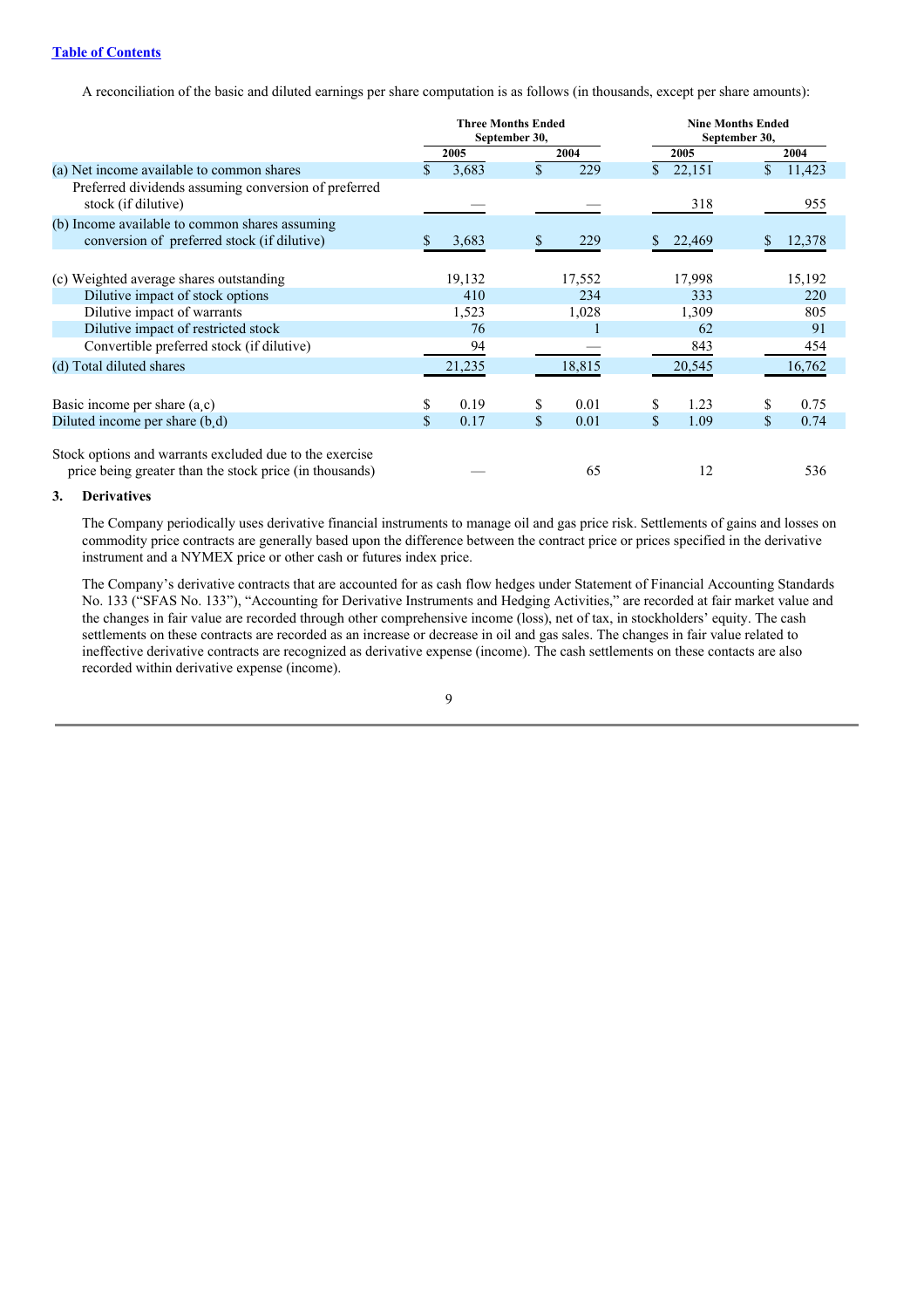A reconciliation of the basic and diluted earnings per share computation is as follows (in thousands, except per share amounts):

|                                                                                                                    | <b>Three Months Ended</b> | September 30, |        |    | <b>Nine Months Ended</b> |    |        |
|--------------------------------------------------------------------------------------------------------------------|---------------------------|---------------|--------|----|--------------------------|----|--------|
|                                                                                                                    | 2005                      |               | 2004   |    | 2005                     |    | 2004   |
| (a) Net income available to common shares                                                                          | 3,683                     | \$            | 229    |    | \$22,151                 | \$ | 11,423 |
| Preferred dividends assuming conversion of preferred<br>stock (if dilutive)                                        |                           |               |        |    | 318                      |    | 955    |
| (b) Income available to common shares assuming                                                                     |                           |               |        |    |                          |    |        |
| conversion of preferred stock (if dilutive)                                                                        | 3,683                     |               | 229    |    | 22,469                   |    | 12,378 |
|                                                                                                                    |                           |               |        |    |                          |    |        |
| (c) Weighted average shares outstanding                                                                            | 19,132                    |               | 17,552 |    | 17,998                   |    | 15,192 |
| Dilutive impact of stock options                                                                                   | 410                       |               | 234    |    | 333                      |    | 220    |
| Dilutive impact of warrants                                                                                        | 1,523                     |               | 1,028  |    | 1,309                    |    | 805    |
| Dilutive impact of restricted stock                                                                                | 76                        |               |        |    | 62                       |    | 91     |
| Convertible preferred stock (if dilutive)                                                                          | 94                        |               |        |    | 843                      |    | 454    |
| (d) Total diluted shares                                                                                           | 21,235                    |               | 18,815 |    | 20,545                   |    | 16,762 |
|                                                                                                                    |                           |               |        |    |                          |    |        |
| Basic income per share $(a, c)$                                                                                    | \$<br>0.19                | S             | 0.01   |    | 1.23                     | \$ | 0.75   |
| Diluted income per share $(b,d)$                                                                                   | \$<br>0.17                | \$            | 0.01   | \$ | 1.09                     | \$ | 0.74   |
| Stock options and warrants excluded due to the exercise<br>price being greater than the stock price (in thousands) |                           |               | 65     |    | 12                       |    | 536    |

#### **3. Derivatives**

The Company periodically uses derivative financial instruments to manage oil and gas price risk. Settlements of gains and losses on commodity price contracts are generally based upon the difference between the contract price or prices specified in the derivative instrument and a NYMEX price or other cash or futures index price.

The Company's derivative contracts that are accounted for as cash flow hedges under Statement of Financial Accounting Standards No. 133 ("SFAS No. 133"), "Accounting for Derivative Instruments and Hedging Activities," are recorded at fair market value and the changes in fair value are recorded through other comprehensive income (loss), net of tax, in stockholders' equity. The cash settlements on these contracts are recorded as an increase or decrease in oil and gas sales. The changes in fair value related to ineffective derivative contracts are recognized as derivative expense (income). The cash settlements on these contacts are also recorded within derivative expense (income).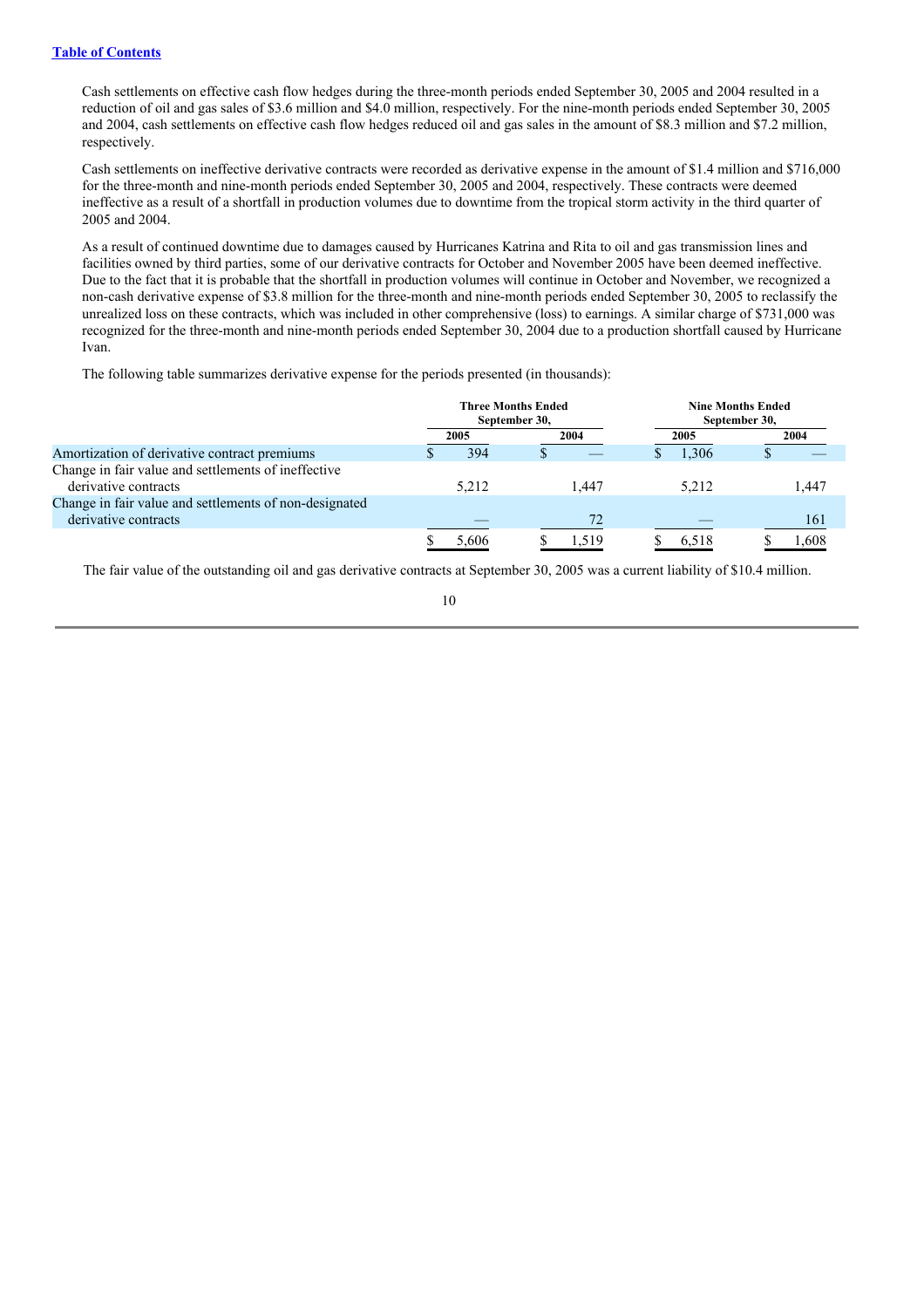Cash settlements on effective cash flow hedges during the three-month periods ended September 30, 2005 and 2004 resulted in a reduction of oil and gas sales of \$3.6 million and \$4.0 million, respectively. For the nine-month periods ended September 30, 2005 and 2004, cash settlements on effective cash flow hedges reduced oil and gas sales in the amount of \$8.3 million and \$7.2 million, respectively.

Cash settlements on ineffective derivative contracts were recorded as derivative expense in the amount of \$1.4 million and \$716,000 for the three-month and nine-month periods ended September 30, 2005 and 2004, respectively. These contracts were deemed ineffective as a result of a shortfall in production volumes due to downtime from the tropical storm activity in the third quarter of 2005 and 2004.

As a result of continued downtime due to damages caused by Hurricanes Katrina and Rita to oil and gas transmission lines and facilities owned by third parties, some of our derivative contracts for October and November 2005 have been deemed ineffective. Due to the fact that it is probable that the shortfall in production volumes will continue in October and November, we recognized a non-cash derivative expense of \$3.8 million for the three-month and nine-month periods ended September 30, 2005 to reclassify the unrealized loss on these contracts, which was included in other comprehensive (loss) to earnings. A similar charge of \$731,000 was recognized for the three-month and nine-month periods ended September 30, 2004 due to a production shortfall caused by Hurricane Ivan.

The following table summarizes derivative expense for the periods presented (in thousands):

|                                                        | <b>Three Months Ended</b><br>September 30, |       |  | <b>Nine Months Ended</b><br>September 30, |  |       |  |       |
|--------------------------------------------------------|--------------------------------------------|-------|--|-------------------------------------------|--|-------|--|-------|
|                                                        |                                            | 2005  |  | 2004                                      |  | 2005  |  | 2004  |
| Amortization of derivative contract premiums           |                                            | 394   |  |                                           |  | 1.306 |  |       |
| Change in fair value and settlements of ineffective    |                                            |       |  |                                           |  |       |  |       |
| derivative contracts                                   |                                            | 5.212 |  | 1.447                                     |  | 5.212 |  | 1.447 |
| Change in fair value and settlements of non-designated |                                            |       |  |                                           |  |       |  |       |
| derivative contracts                                   |                                            |       |  | 72                                        |  |       |  | 161   |
|                                                        |                                            | 5.606 |  | 1.519                                     |  | 6,518 |  | .608  |

The fair value of the outstanding oil and gas derivative contracts at September 30, 2005 was a current liability of \$10.4 million.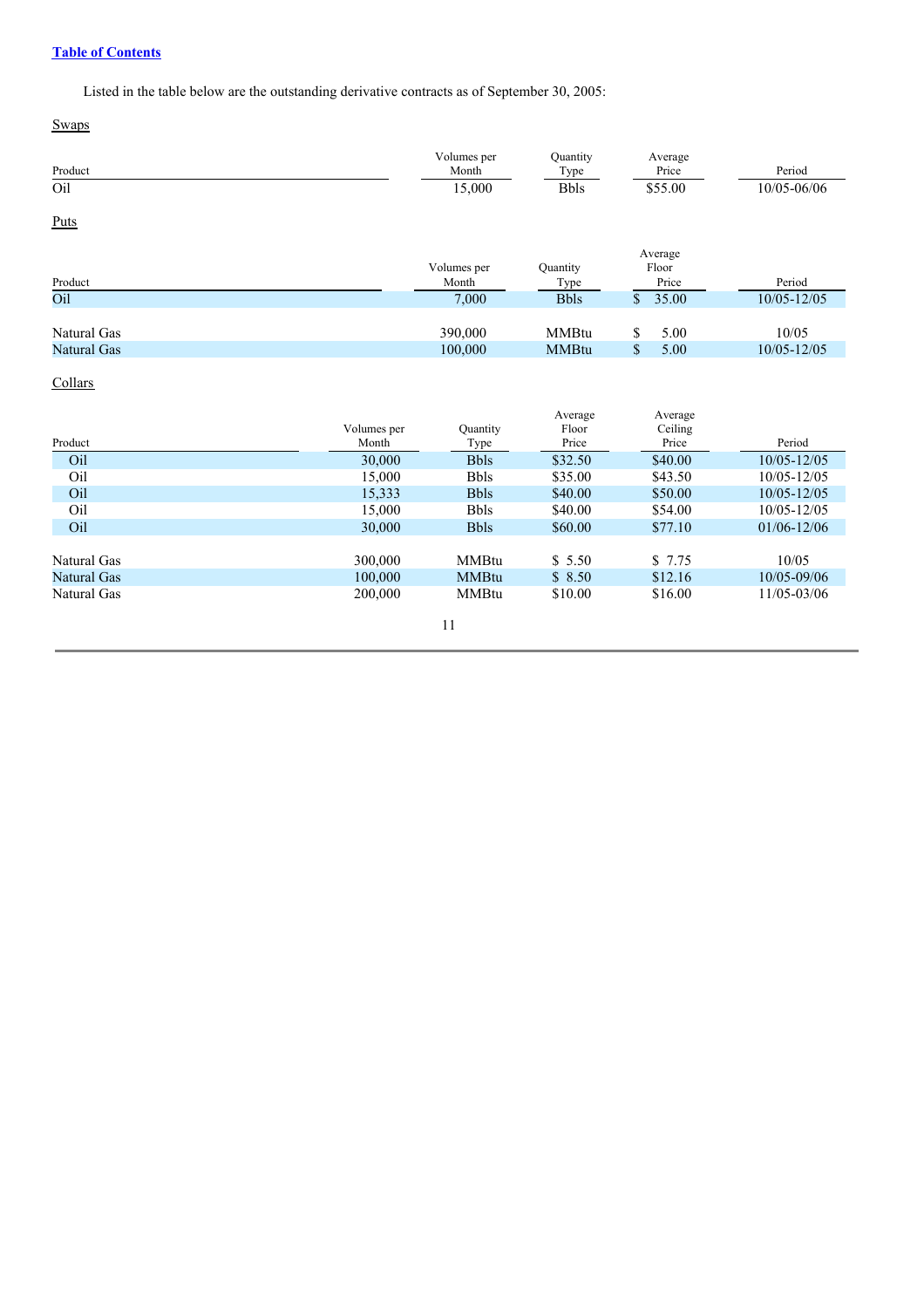Listed in the table below are the outstanding derivative contracts as of September 30, 2005:

Swaps

| Product     | Volumes per<br>Month | <b>Ouantity</b><br>Type | Average<br>Price | Period      |
|-------------|----------------------|-------------------------|------------------|-------------|
| Oil         | 15,000               | <b>Bbls</b>             | \$55.00          | 10/05-06/06 |
| <b>Puts</b> |                      |                         |                  |             |

|             |             |              | Average |                 |
|-------------|-------------|--------------|---------|-----------------|
|             | Volumes per | Ouantity     | Floor   |                 |
| Product     | Month       | Type         | Price   | Period          |
| Oil         | 7.000       | <b>Bbls</b>  | 35.00   | $10/05 - 12/05$ |
|             |             |              |         |                 |
| Natural Gas | 390,000     | <b>MMBtu</b> | 5.00    | 10/05           |
| Natural Gas | 100,000     | <b>MMBtu</b> | 5.00    | $10/05 - 12/05$ |

**Collars** 

|                 |             |              | Average | Average |                 |
|-----------------|-------------|--------------|---------|---------|-----------------|
|                 | Volumes per | Ouantity     | Floor   | Ceiling |                 |
| Product         | Month       | Type         | Price   | Price   | Period          |
| Oil             | 30,000      | <b>Bbls</b>  | \$32.50 | \$40.00 | $10/05 - 12/05$ |
| Oil             | 15,000      | <b>Bbls</b>  | \$35.00 | \$43.50 | 10/05-12/05     |
| Oil             | 15,333      | <b>Bbls</b>  | \$40.00 | \$50.00 | $10/05 - 12/05$ |
| O <sub>il</sub> | 15,000      | <b>Bbls</b>  | \$40.00 | \$54.00 | 10/05-12/05     |
| Oil             | 30,000      | <b>Bbls</b>  | \$60.00 | \$77.10 | $01/06 - 12/06$ |
|                 |             |              |         |         |                 |
| Natural Gas     | 300,000     | <b>MMBtu</b> | \$5.50  | \$7.75  | 10/05           |
| Natural Gas     | 100,000     | <b>MMBtu</b> | \$8.50  | \$12.16 | 10/05-09/06     |
| Natural Gas     | 200,000     | <b>MMBtu</b> | \$10.00 | \$16.00 | 11/05-03/06     |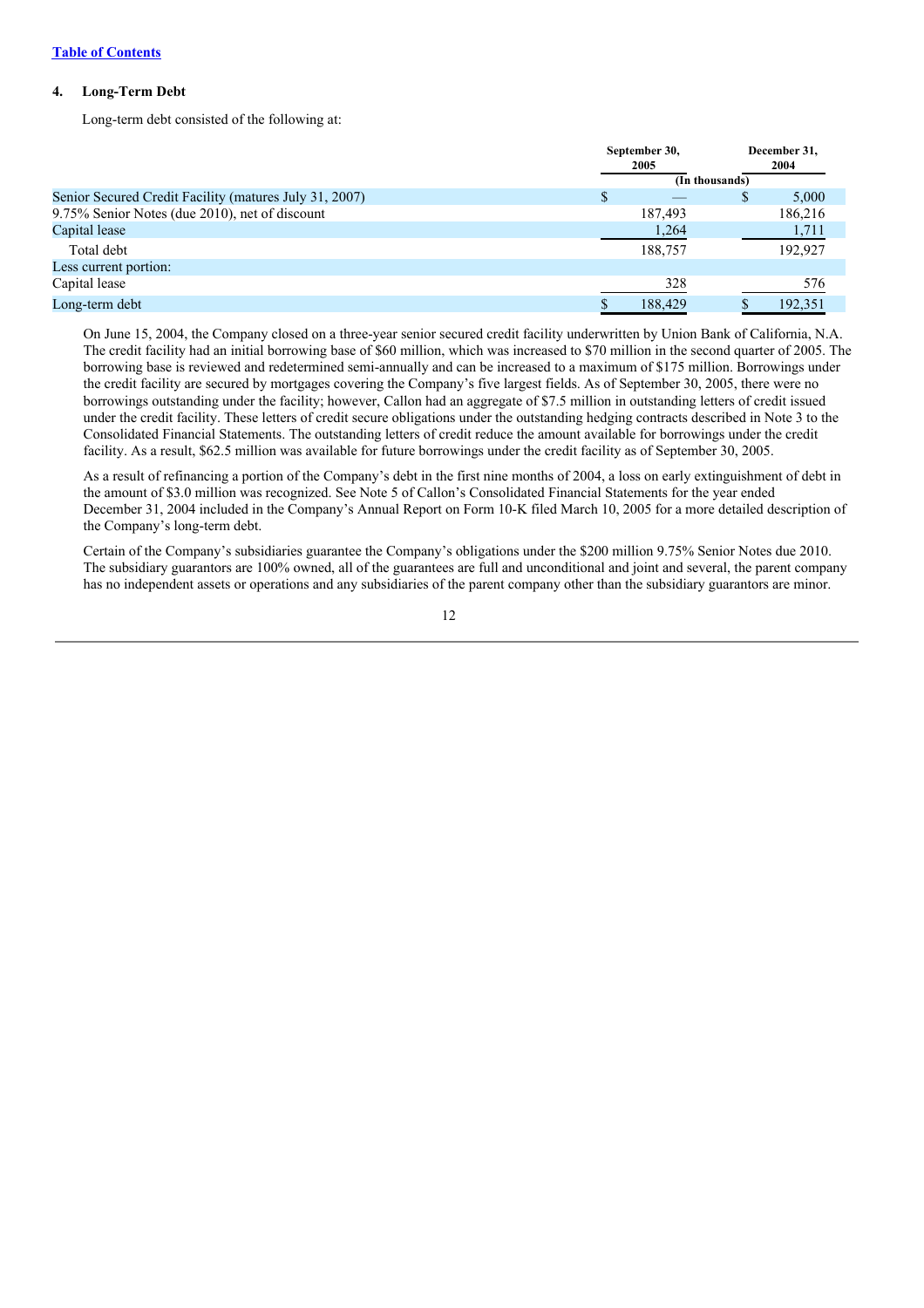# **4. Long-Term Debt**

Long-term debt consisted of the following at:

|                                                        | September 30,<br>2005 |         | December 31,<br>2004 |         |  |  |  |  |
|--------------------------------------------------------|-----------------------|---------|----------------------|---------|--|--|--|--|
|                                                        | (In thousands)        |         |                      |         |  |  |  |  |
| Senior Secured Credit Facility (matures July 31, 2007) | \$                    |         | S                    | 5,000   |  |  |  |  |
| 9.75% Senior Notes (due 2010), net of discount         |                       | 187,493 |                      | 186,216 |  |  |  |  |
| Capital lease                                          |                       | 1,264   |                      | 1,711   |  |  |  |  |
| Total debt                                             |                       | 188,757 |                      | 192.927 |  |  |  |  |
| Less current portion:                                  |                       |         |                      |         |  |  |  |  |
| Capital lease                                          |                       | 328     |                      | 576     |  |  |  |  |
| Long-term debt                                         |                       | 188,429 |                      | 192,351 |  |  |  |  |

On June 15, 2004, the Company closed on a three-year senior secured credit facility underwritten by Union Bank of California, N.A. The credit facility had an initial borrowing base of \$60 million, which was increased to \$70 million in the second quarter of 2005. The borrowing base is reviewed and redetermined semi-annually and can be increased to a maximum of \$175 million. Borrowings under the credit facility are secured by mortgages covering the Company's five largest fields. As of September 30, 2005, there were no borrowings outstanding under the facility; however, Callon had an aggregate of \$7.5 million in outstanding letters of credit issued under the credit facility. These letters of credit secure obligations under the outstanding hedging contracts described in Note 3 to the Consolidated Financial Statements. The outstanding letters of credit reduce the amount available for borrowings under the credit facility. As a result, \$62.5 million was available for future borrowings under the credit facility as of September 30, 2005.

As a result of refinancing a portion of the Company's debt in the first nine months of 2004, a loss on early extinguishment of debt in the amount of \$3.0 million was recognized. See Note 5 of Callon's Consolidated Financial Statements for the year ended December 31, 2004 included in the Company's Annual Report on Form 10-K filed March 10, 2005 for a more detailed description of the Company's long-term debt.

Certain of the Company's subsidiaries guarantee the Company's obligations under the \$200 million 9.75% Senior Notes due 2010. The subsidiary guarantors are 100% owned, all of the guarantees are full and unconditional and joint and several, the parent company has no independent assets or operations and any subsidiaries of the parent company other than the subsidiary guarantors are minor.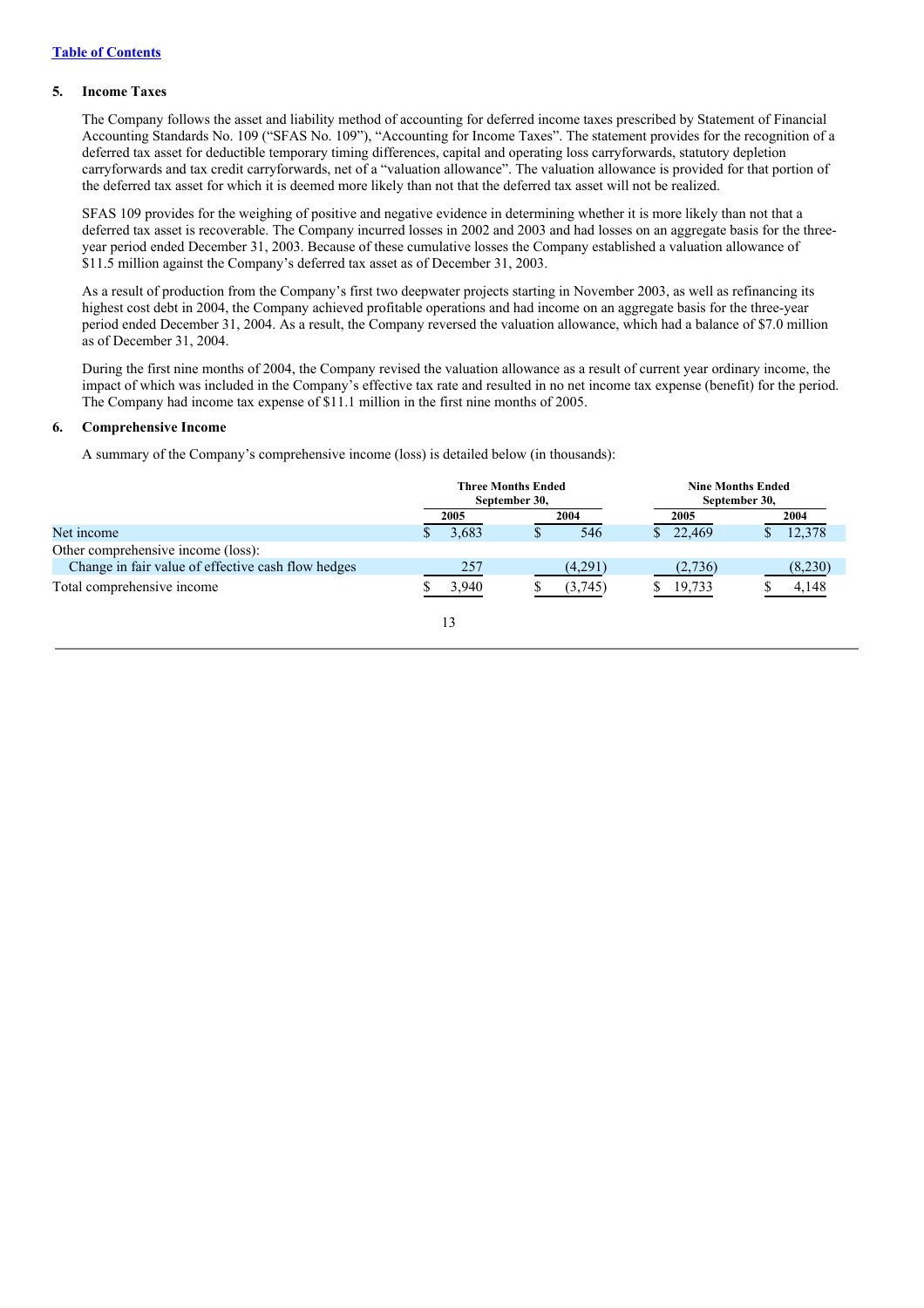#### **5. Income Taxes**

The Company follows the asset and liability method of accounting for deferred income taxes prescribed by Statement of Financial Accounting Standards No. 109 ("SFAS No. 109"), "Accounting for Income Taxes". The statement provides for the recognition of a deferred tax asset for deductible temporary timing differences, capital and operating loss carryforwards, statutory depletion carryforwards and tax credit carryforwards, net of a "valuation allowance". The valuation allowance is provided for that portion of the deferred tax asset for which it is deemed more likely than not that the deferred tax asset will not be realized.

SFAS 109 provides for the weighing of positive and negative evidence in determining whether it is more likely than not that a deferred tax asset is recoverable. The Company incurred losses in 2002 and 2003 and had losses on an aggregate basis for the threeyear period ended December 31, 2003. Because of these cumulative losses the Company established a valuation allowance of \$11.5 million against the Company's deferred tax asset as of December 31, 2003.

As a result of production from the Company's first two deepwater projects starting in November 2003, as well as refinancing its highest cost debt in 2004, the Company achieved profitable operations and had income on an aggregate basis for the three-year period ended December 31, 2004. As a result, the Company reversed the valuation allowance, which had a balance of \$7.0 million as of December 31, 2004.

During the first nine months of 2004, the Company revised the valuation allowance as a result of current year ordinary income, the impact of which was included in the Company's effective tax rate and resulted in no net income tax expense (benefit) for the period. The Company had income tax expense of \$11.1 million in the first nine months of 2005.

#### **6. Comprehensive Income**

A summary of the Company's comprehensive income (loss) is detailed below (in thousands):

|                                                    | <b>Three Months Ended</b><br>September 30, |       |  | <b>Nine Months Ended</b><br>September 30, |  |          |  |         |
|----------------------------------------------------|--------------------------------------------|-------|--|-------------------------------------------|--|----------|--|---------|
|                                                    |                                            | 2005  |  | 2004                                      |  | 2005     |  | 2004    |
| Net income                                         |                                            | 3.683 |  | 546                                       |  | \$22.469 |  | 12.378  |
| Other comprehensive income (loss):                 |                                            |       |  |                                           |  |          |  |         |
| Change in fair value of effective cash flow hedges |                                            | 257   |  | (4,291)                                   |  | (2,736)  |  | (8,230) |
| Total comprehensive income                         |                                            | 3.940 |  | (3,745)                                   |  | 19,733   |  | 4,148   |
|                                                    |                                            |       |  |                                           |  |          |  |         |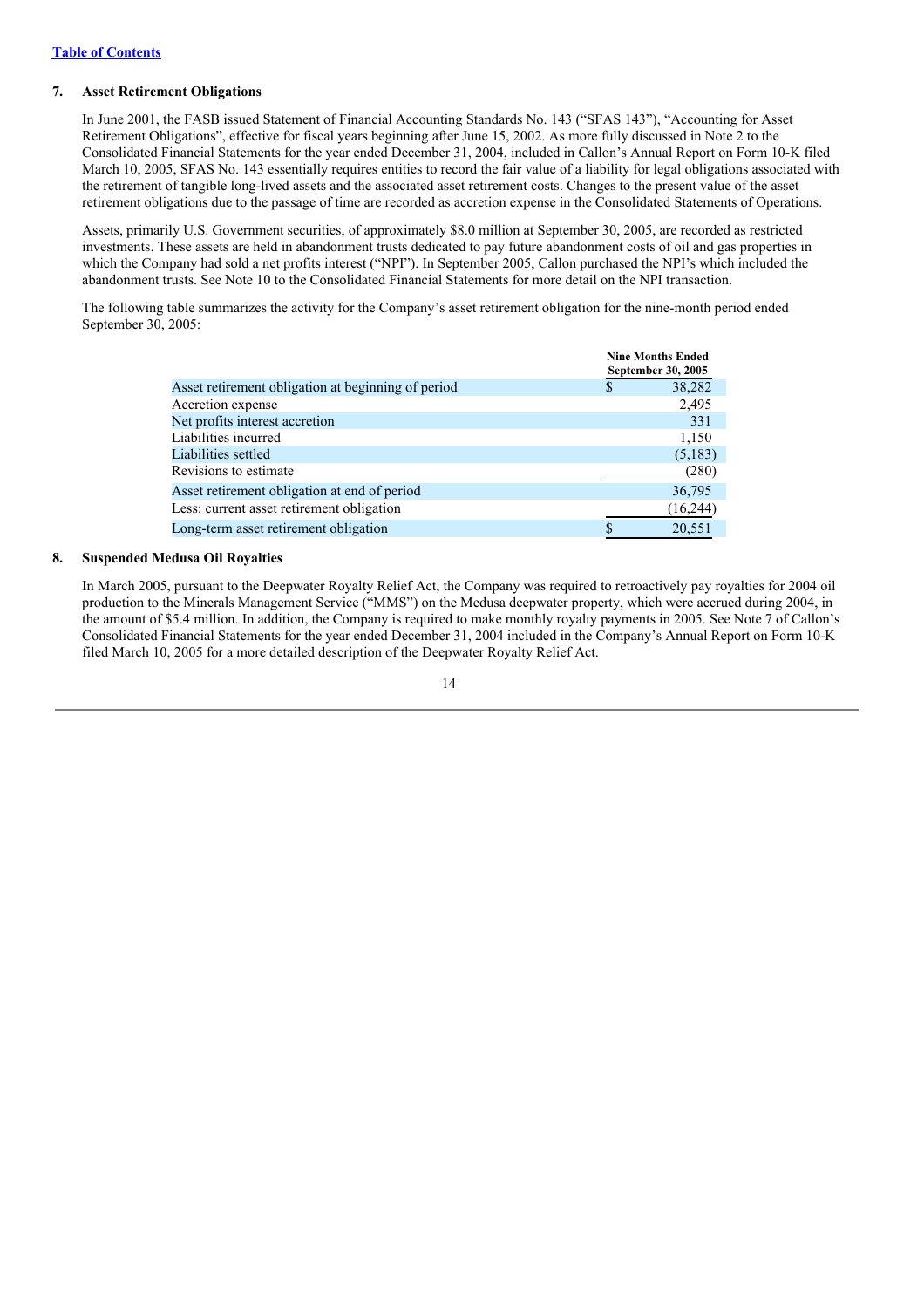# **7. Asset Retirement Obligations**

In June 2001, the FASB issued Statement of Financial Accounting Standards No. 143 ("SFAS 143"), "Accounting for Asset Retirement Obligations", effective for fiscal years beginning after June 15, 2002. As more fully discussed in Note 2 to the Consolidated Financial Statements for the year ended December 31, 2004, included in Callon's Annual Report on Form 10-K filed March 10, 2005, SFAS No. 143 essentially requires entities to record the fair value of a liability for legal obligations associated with the retirement of tangible long-lived assets and the associated asset retirement costs. Changes to the present value of the asset retirement obligations due to the passage of time are recorded as accretion expense in the Consolidated Statements of Operations.

Assets, primarily U.S. Government securities, of approximately \$8.0 million at September 30, 2005, are recorded as restricted investments. These assets are held in abandonment trusts dedicated to pay future abandonment costs of oil and gas properties in which the Company had sold a net profits interest ("NPI"). In September 2005, Callon purchased the NPI's which included the abandonment trusts. See Note 10 to the Consolidated Financial Statements for more detail on the NPI transaction.

The following table summarizes the activity for the Company's asset retirement obligation for the nine-month period ended September 30, 2005:

|                                                    | <b>Nine Months Ended</b><br>September 30, 2005 |  |  |  |  |
|----------------------------------------------------|------------------------------------------------|--|--|--|--|
| Asset retirement obligation at beginning of period | 38,282                                         |  |  |  |  |
| Accretion expense                                  | 2,495                                          |  |  |  |  |
| Net profits interest accretion                     | 331                                            |  |  |  |  |
| Liabilities incurred                               | 1,150                                          |  |  |  |  |
| Liabilities settled                                | (5,183)                                        |  |  |  |  |
| Revisions to estimate                              | (280)                                          |  |  |  |  |
| Asset retirement obligation at end of period       | 36,795                                         |  |  |  |  |
| Less: current asset retirement obligation          | (16,244)                                       |  |  |  |  |
| Long-term asset retirement obligation              | 20,551                                         |  |  |  |  |

#### **8. Suspended Medusa Oil Royalties**

In March 2005, pursuant to the Deepwater Royalty Relief Act, the Company was required to retroactively pay royalties for 2004 oil production to the Minerals Management Service ("MMS") on the Medusa deepwater property, which were accrued during 2004, in the amount of \$5.4 million. In addition, the Company is required to make monthly royalty payments in 2005. See Note 7 of Callon's Consolidated Financial Statements for the year ended December 31, 2004 included in the Company's Annual Report on Form 10-K filed March 10, 2005 for a more detailed description of the Deepwater Royalty Relief Act.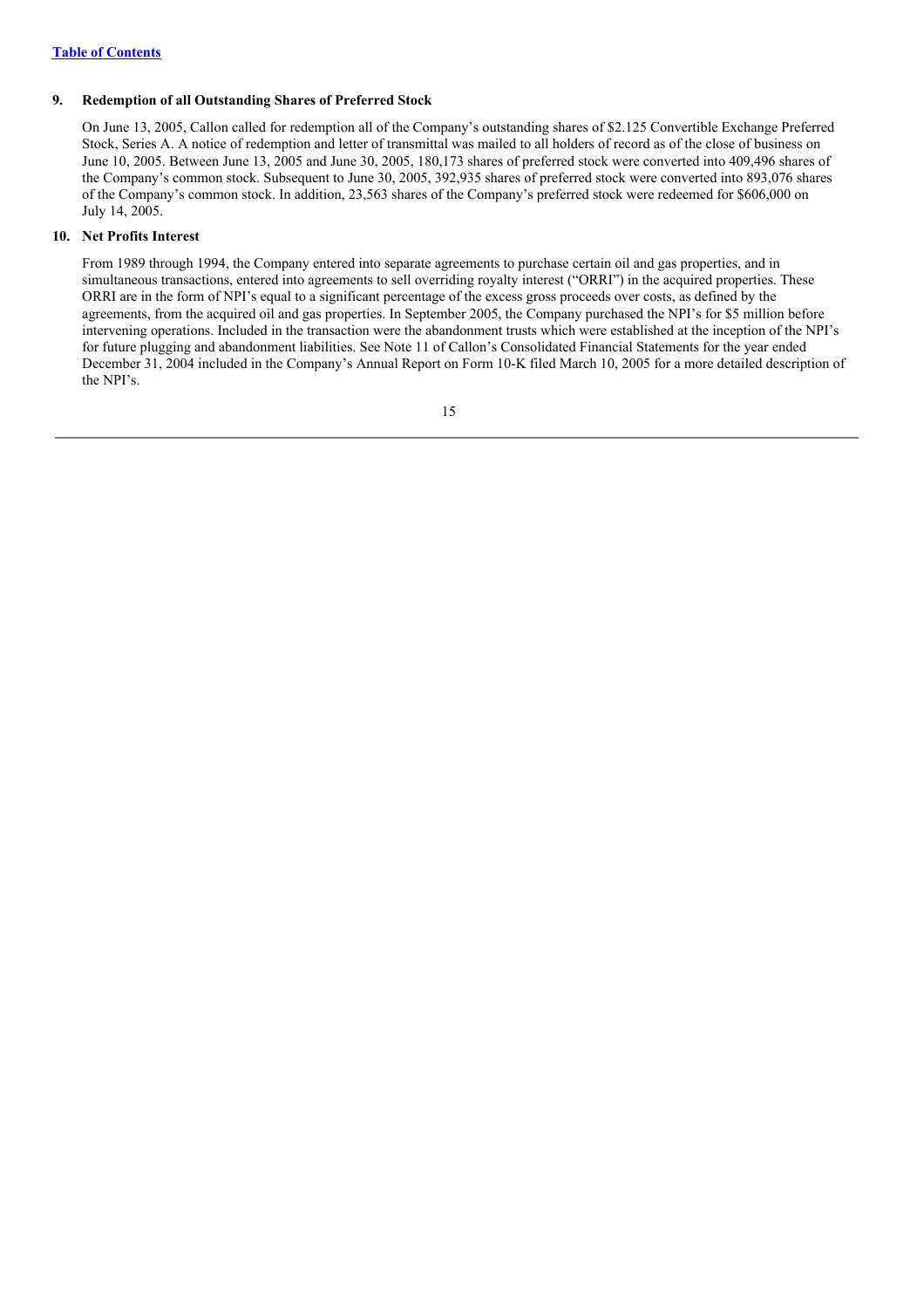# **9. Redemption of all Outstanding Shares of Preferred Stock**

On June 13, 2005, Callon called for redemption all of the Company's outstanding shares of \$2.125 Convertible Exchange Preferred Stock, Series A. A notice of redemption and letter of transmittal was mailed to all holders of record as of the close of business on June 10, 2005. Between June 13, 2005 and June 30, 2005, 180,173 shares of preferred stock were converted into 409,496 shares of the Company's common stock. Subsequent to June 30, 2005, 392,935 shares of preferred stock were converted into 893,076 shares of the Company's common stock. In addition, 23,563 shares of the Company's preferred stock were redeemed for \$606,000 on July 14, 2005.

# **10. Net Profits Interest**

From 1989 through 1994, the Company entered into separate agreements to purchase certain oil and gas properties, and in simultaneous transactions, entered into agreements to sell overriding royalty interest ("ORRI") in the acquired properties. These ORRI are in the form of NPI's equal to a significant percentage of the excess gross proceeds over costs, as defined by the agreements, from the acquired oil and gas properties. In September 2005, the Company purchased the NPI's for \$5 million before intervening operations. Included in the transaction were the abandonment trusts which were established at the inception of the NPI's for future plugging and abandonment liabilities. See Note 11 of Callon's Consolidated Financial Statements for the year ended December 31, 2004 included in the Company's Annual Report on Form 10-K filed March 10, 2005 for a more detailed description of the NPI's.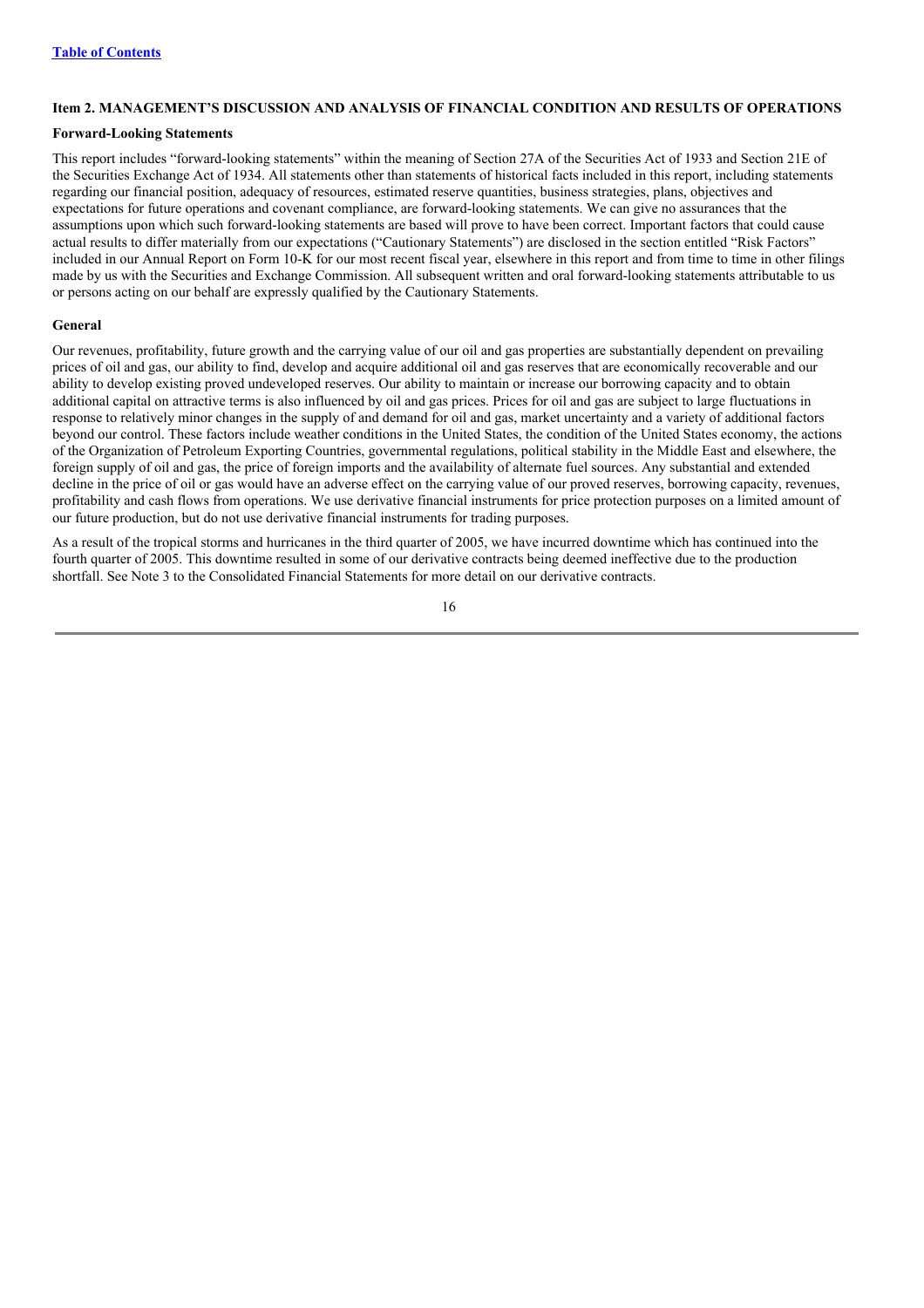#### **Item 2. MANAGEMENT'S DISCUSSION AND ANALYSIS OF FINANCIAL CONDITION AND RESULTS OF OPERATIONS**

#### **Forward-Looking Statements**

This report includes "forward-looking statements" within the meaning of Section 27A of the Securities Act of 1933 and Section 21E of the Securities Exchange Act of 1934. All statements other than statements of historical facts included in this report, including statements regarding our financial position, adequacy of resources, estimated reserve quantities, business strategies, plans, objectives and expectations for future operations and covenant compliance, are forward-looking statements. We can give no assurances that the assumptions upon which such forward-looking statements are based will prove to have been correct. Important factors that could cause actual results to differ materially from our expectations ("Cautionary Statements") are disclosed in the section entitled "Risk Factors" included in our Annual Report on Form 10-K for our most recent fiscal year, elsewhere in this report and from time to time in other filings made by us with the Securities and Exchange Commission. All subsequent written and oral forward-looking statements attributable to us or persons acting on our behalf are expressly qualified by the Cautionary Statements.

# **General**

Our revenues, profitability, future growth and the carrying value of our oil and gas properties are substantially dependent on prevailing prices of oil and gas, our ability to find, develop and acquire additional oil and gas reserves that are economically recoverable and our ability to develop existing proved undeveloped reserves. Our ability to maintain or increase our borrowing capacity and to obtain additional capital on attractive terms is also influenced by oil and gas prices. Prices for oil and gas are subject to large fluctuations in response to relatively minor changes in the supply of and demand for oil and gas, market uncertainty and a variety of additional factors beyond our control. These factors include weather conditions in the United States, the condition of the United States economy, the actions of the Organization of Petroleum Exporting Countries, governmental regulations, political stability in the Middle East and elsewhere, the foreign supply of oil and gas, the price of foreign imports and the availability of alternate fuel sources. Any substantial and extended decline in the price of oil or gas would have an adverse effect on the carrying value of our proved reserves, borrowing capacity, revenues, profitability and cash flows from operations. We use derivative financial instruments for price protection purposes on a limited amount of our future production, but do not use derivative financial instruments for trading purposes.

As a result of the tropical storms and hurricanes in the third quarter of 2005, we have incurred downtime which has continued into the fourth quarter of 2005. This downtime resulted in some of our derivative contracts being deemed ineffective due to the production shortfall. See Note 3 to the Consolidated Financial Statements for more detail on our derivative contracts.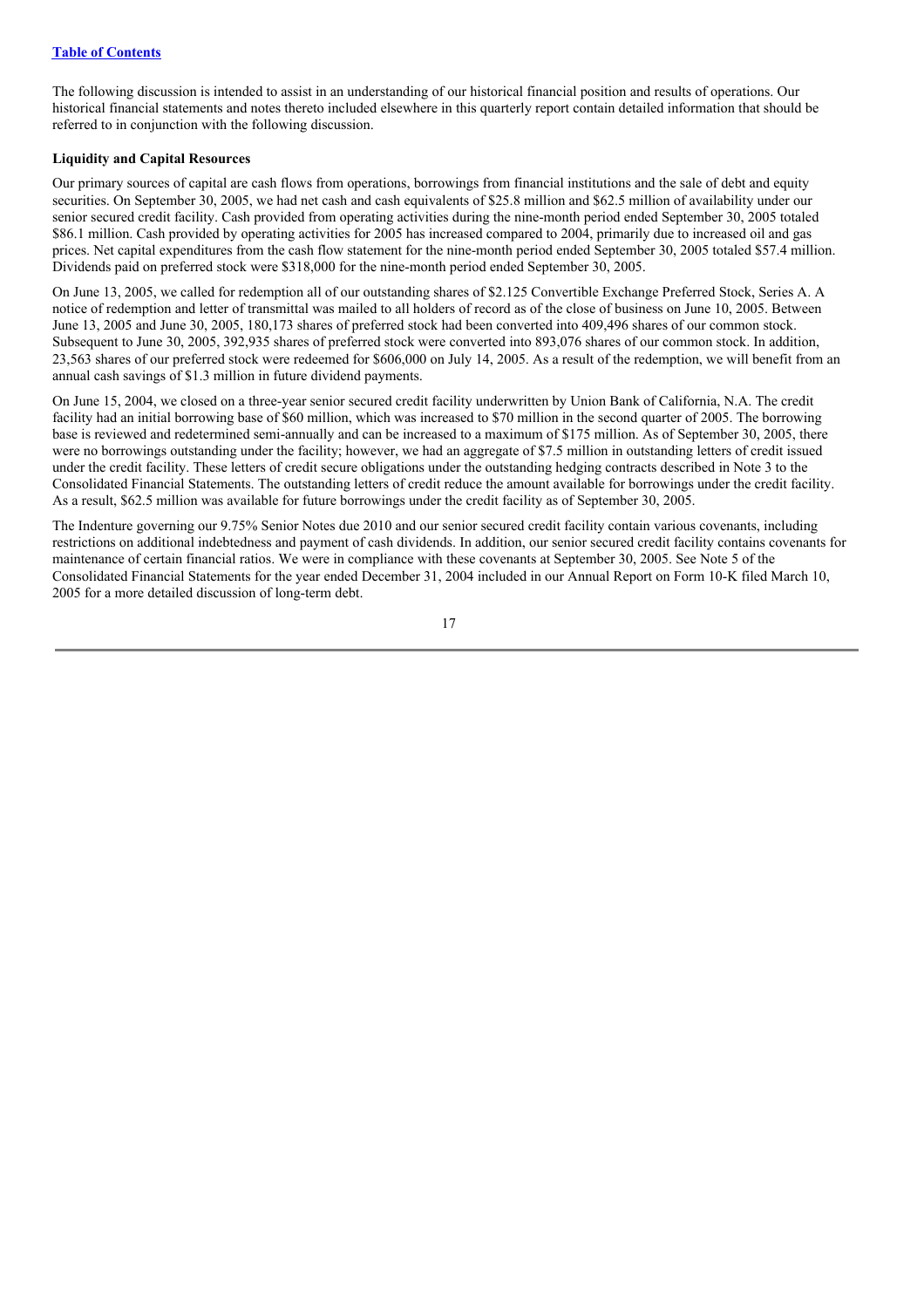The following discussion is intended to assist in an understanding of our historical financial position and results of operations. Our historical financial statements and notes thereto included elsewhere in this quarterly report contain detailed information that should be referred to in conjunction with the following discussion.

# **Liquidity and Capital Resources**

Our primary sources of capital are cash flows from operations, borrowings from financial institutions and the sale of debt and equity securities. On September 30, 2005, we had net cash and cash equivalents of \$25.8 million and \$62.5 million of availability under our senior secured credit facility. Cash provided from operating activities during the nine-month period ended September 30, 2005 totaled \$86.1 million. Cash provided by operating activities for 2005 has increased compared to 2004, primarily due to increased oil and gas prices. Net capital expenditures from the cash flow statement for the nine-month period ended September 30, 2005 totaled \$57.4 million. Dividends paid on preferred stock were \$318,000 for the nine-month period ended September 30, 2005.

On June 13, 2005, we called for redemption all of our outstanding shares of \$2.125 Convertible Exchange Preferred Stock, Series A. A notice of redemption and letter of transmittal was mailed to all holders of record as of the close of business on June 10, 2005. Between June 13, 2005 and June 30, 2005, 180,173 shares of preferred stock had been converted into 409,496 shares of our common stock. Subsequent to June 30, 2005, 392,935 shares of preferred stock were converted into 893,076 shares of our common stock. In addition, 23,563 shares of our preferred stock were redeemed for \$606,000 on July 14, 2005. As a result of the redemption, we will benefit from an annual cash savings of \$1.3 million in future dividend payments.

On June 15, 2004, we closed on a three-year senior secured credit facility underwritten by Union Bank of California, N.A. The credit facility had an initial borrowing base of \$60 million, which was increased to \$70 million in the second quarter of 2005. The borrowing base is reviewed and redetermined semi-annually and can be increased to a maximum of \$175 million. As of September 30, 2005, there were no borrowings outstanding under the facility; however, we had an aggregate of \$7.5 million in outstanding letters of credit issued under the credit facility. These letters of credit secure obligations under the outstanding hedging contracts described in Note 3 to the Consolidated Financial Statements. The outstanding letters of credit reduce the amount available for borrowings under the credit facility. As a result, \$62.5 million was available for future borrowings under the credit facility as of September 30, 2005.

The Indenture governing our 9.75% Senior Notes due 2010 and our senior secured credit facility contain various covenants, including restrictions on additional indebtedness and payment of cash dividends. In addition, our senior secured credit facility contains covenants for maintenance of certain financial ratios. We were in compliance with these covenants at September 30, 2005. See Note 5 of the Consolidated Financial Statements for the year ended December 31, 2004 included in our Annual Report on Form 10-K filed March 10, 2005 for a more detailed discussion of long-term debt.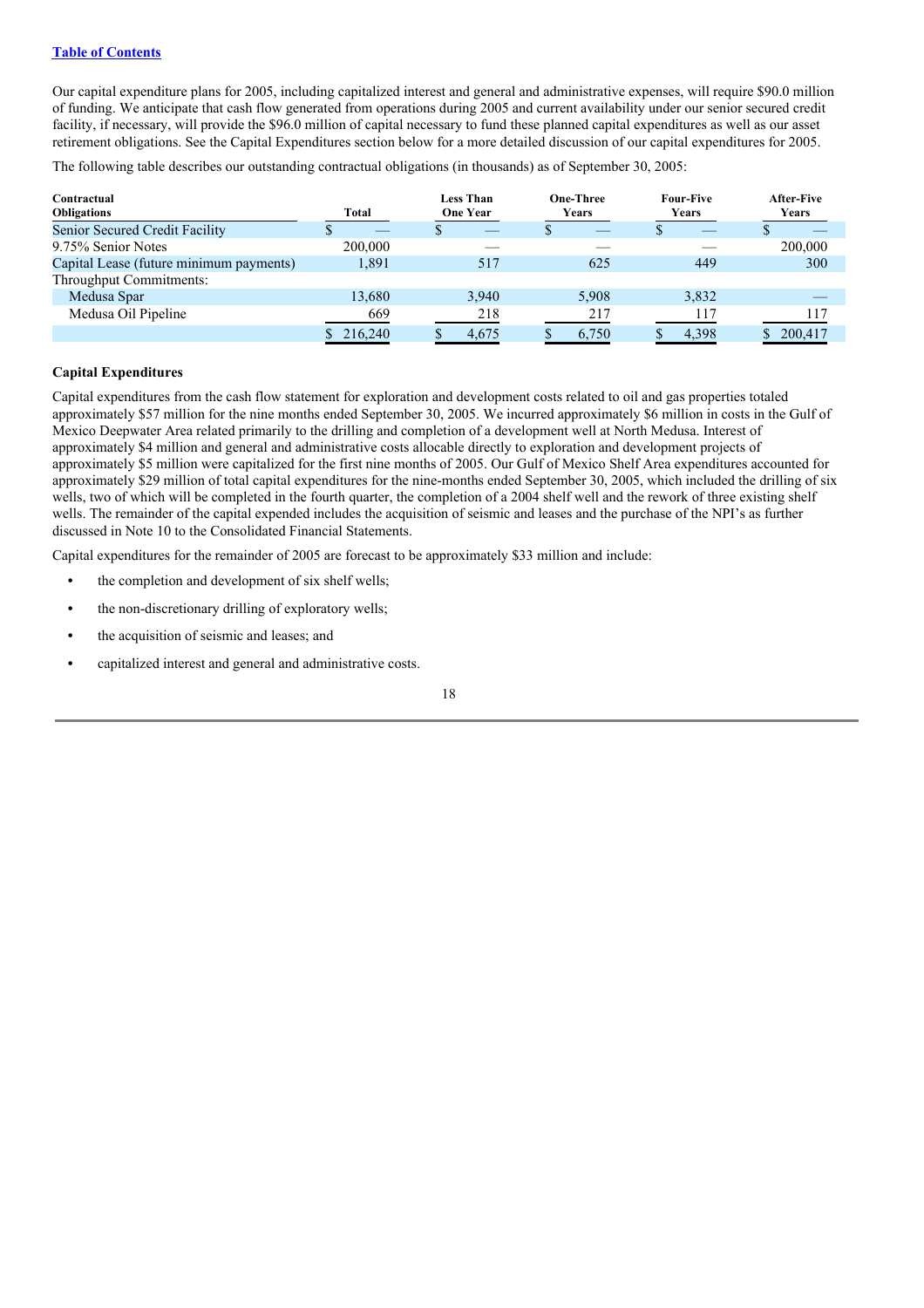Our capital expenditure plans for 2005, including capitalized interest and general and administrative expenses, will require \$90.0 million of funding. We anticipate that cash flow generated from operations during 2005 and current availability under our senior secured credit facility, if necessary, will provide the \$96.0 million of capital necessary to fund these planned capital expenditures as well as our asset retirement obligations. See the Capital Expenditures section below for a more detailed discussion of our capital expenditures for 2005.

The following table describes our outstanding contractual obligations (in thousands) as of September 30, 2005:

| Contractual<br><b>Obligations</b>       | Total   | <b>Less Than</b><br><b>One Year</b> | <b>One-Three</b><br>Years | <b>Four-Five</b><br>Years | <b>After-Five</b><br>Years |  |
|-----------------------------------------|---------|-------------------------------------|---------------------------|---------------------------|----------------------------|--|
| Senior Secured Credit Facility          |         |                                     |                           |                           |                            |  |
| 9.75% Senior Notes                      | 200,000 |                                     |                           |                           | 200,000                    |  |
| Capital Lease (future minimum payments) | 1.891   | 517                                 | 625                       | 449                       | 300                        |  |
| Throughput Commitments:                 |         |                                     |                           |                           |                            |  |
| Medusa Spar                             | 13.680  | 3.940                               | 5.908                     | 3,832                     |                            |  |
| Medusa Oil Pipeline                     | 669     | 218                                 | 217                       | 117                       | 117                        |  |
|                                         | 216,240 | 4,675                               | 6,750                     | 4,398                     | 200,417                    |  |

# **Capital Expenditures**

Capital expenditures from the cash flow statement for exploration and development costs related to oil and gas properties totaled approximately \$57 million for the nine months ended September 30, 2005. We incurred approximately \$6 million in costs in the Gulf of Mexico Deepwater Area related primarily to the drilling and completion of a development well at North Medusa. Interest of approximately \$4 million and general and administrative costs allocable directly to exploration and development projects of approximately \$5 million were capitalized for the first nine months of 2005. Our Gulf of Mexico Shelf Area expenditures accounted for approximately \$29 million of total capital expenditures for the nine-months ended September 30, 2005, which included the drilling of six wells, two of which will be completed in the fourth quarter, the completion of a 2004 shelf well and the rework of three existing shelf wells. The remainder of the capital expended includes the acquisition of seismic and leases and the purchase of the NPI's as further discussed in Note 10 to the Consolidated Financial Statements.

Capital expenditures for the remainder of 2005 are forecast to be approximately \$33 million and include:

- **•** the completion and development of six shelf wells;
- the non-discretionary drilling of exploratory wells;
- **•** the acquisition of seismic and leases; and
- **•** capitalized interest and general and administrative costs.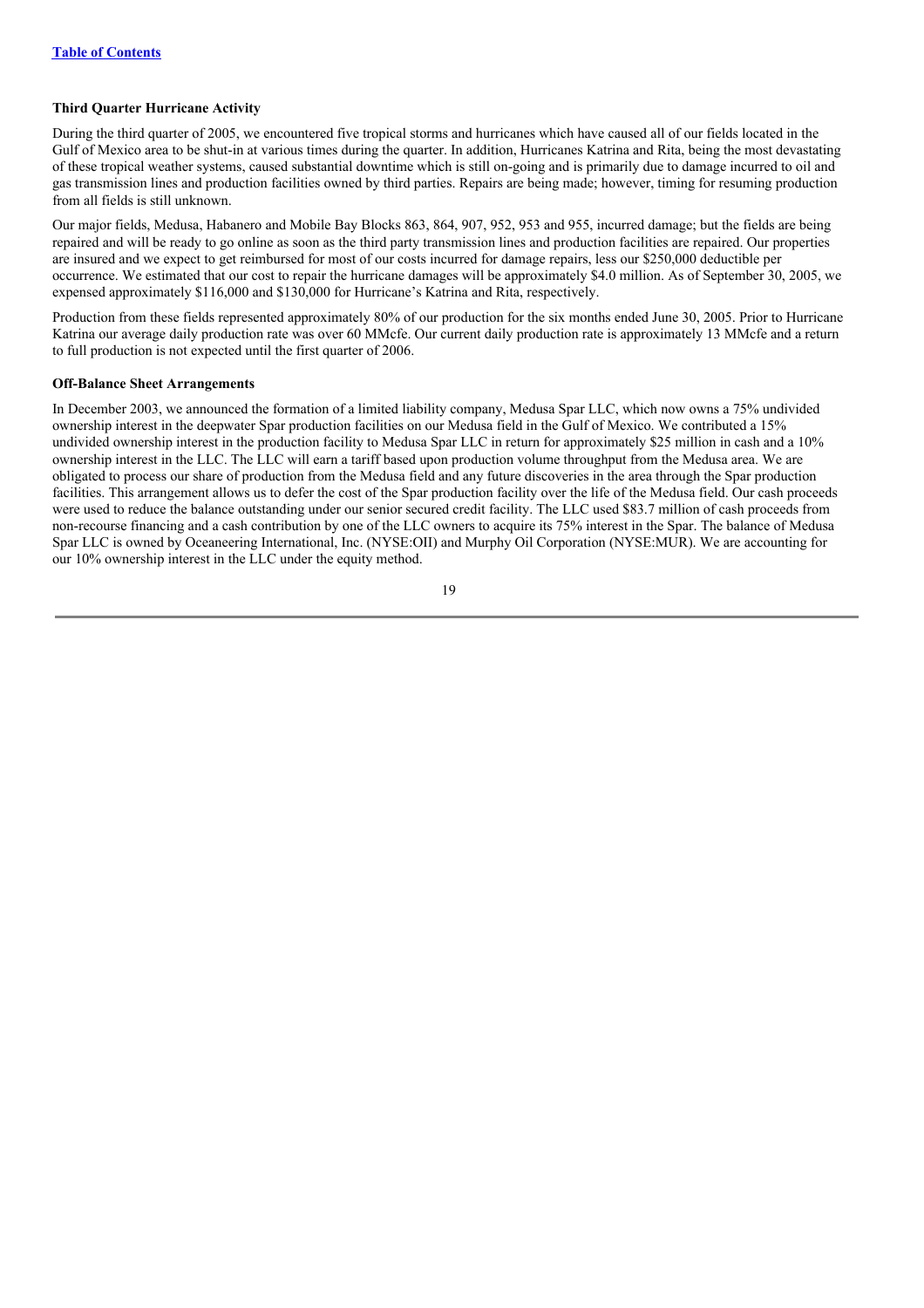# **Third Quarter Hurricane Activity**

During the third quarter of 2005, we encountered five tropical storms and hurricanes which have caused all of our fields located in the Gulf of Mexico area to be shut-in at various times during the quarter. In addition, Hurricanes Katrina and Rita, being the most devastating of these tropical weather systems, caused substantial downtime which is still on-going and is primarily due to damage incurred to oil and gas transmission lines and production facilities owned by third parties. Repairs are being made; however, timing for resuming production from all fields is still unknown.

Our major fields, Medusa, Habanero and Mobile Bay Blocks 863, 864, 907, 952, 953 and 955, incurred damage; but the fields are being repaired and will be ready to go online as soon as the third party transmission lines and production facilities are repaired. Our properties are insured and we expect to get reimbursed for most of our costs incurred for damage repairs, less our \$250,000 deductible per occurrence. We estimated that our cost to repair the hurricane damages will be approximately \$4.0 million. As of September 30, 2005, we expensed approximately \$116,000 and \$130,000 for Hurricane's Katrina and Rita, respectively.

Production from these fields represented approximately 80% of our production for the six months ended June 30, 2005. Prior to Hurricane Katrina our average daily production rate was over 60 MMcfe. Our current daily production rate is approximately 13 MMcfe and a return to full production is not expected until the first quarter of 2006.

#### **Off-Balance Sheet Arrangements**

In December 2003, we announced the formation of a limited liability company, Medusa Spar LLC, which now owns a 75% undivided ownership interest in the deepwater Spar production facilities on our Medusa field in the Gulf of Mexico. We contributed a 15% undivided ownership interest in the production facility to Medusa Spar LLC in return for approximately \$25 million in cash and a 10% ownership interest in the LLC. The LLC will earn a tariff based upon production volume throughput from the Medusa area. We are obligated to process our share of production from the Medusa field and any future discoveries in the area through the Spar production facilities. This arrangement allows us to defer the cost of the Spar production facility over the life of the Medusa field. Our cash proceeds were used to reduce the balance outstanding under our senior secured credit facility. The LLC used \$83.7 million of cash proceeds from non-recourse financing and a cash contribution by one of the LLC owners to acquire its 75% interest in the Spar. The balance of Medusa Spar LLC is owned by Oceaneering International, Inc. (NYSE:OII) and Murphy Oil Corporation (NYSE:MUR). We are accounting for our 10% ownership interest in the LLC under the equity method.

$$
19 \\
$$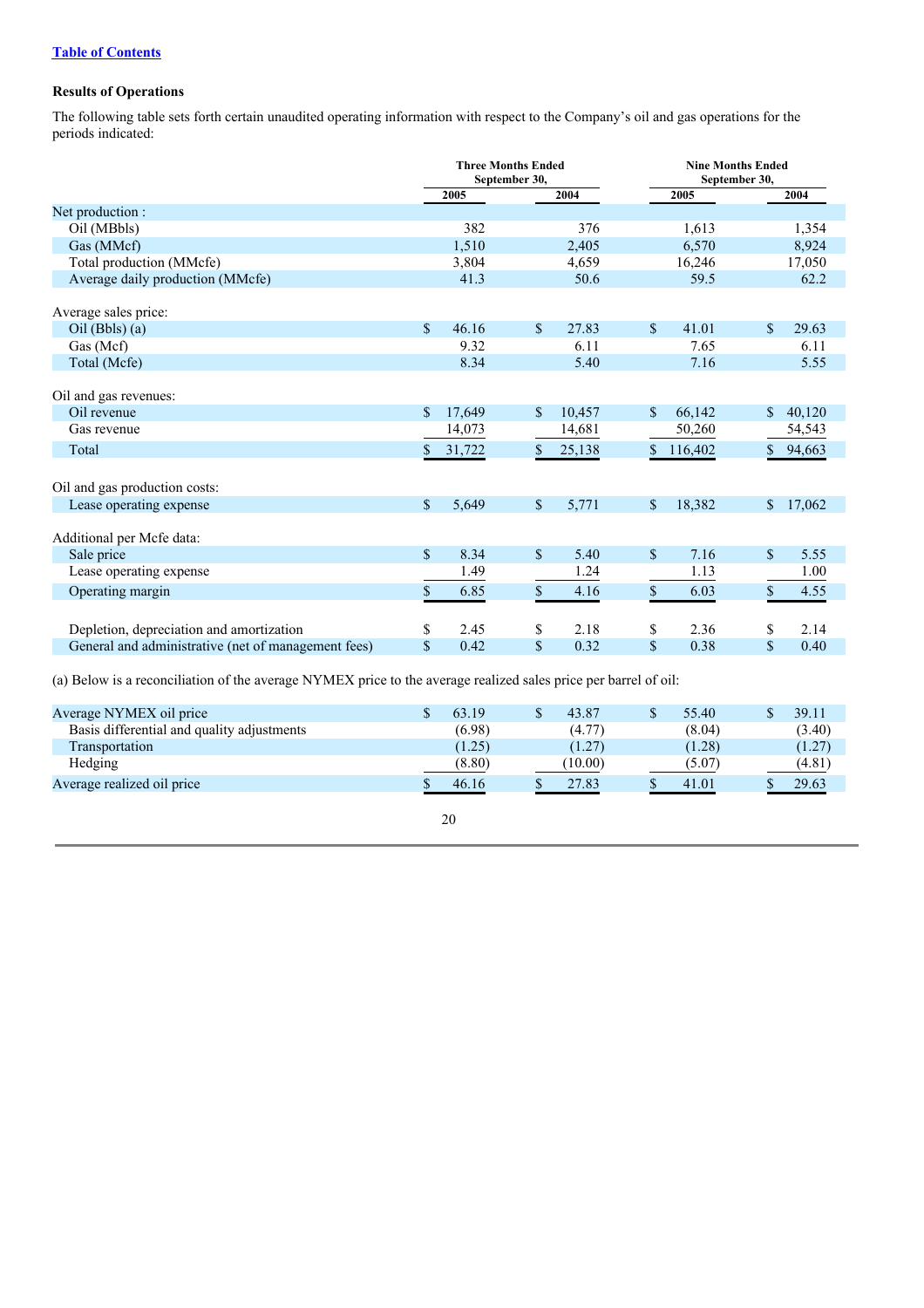# **Results of Operations**

The following table sets forth certain unaudited operating information with respect to the Company's oil and gas operations for the periods indicated:

|                                                     | <b>Three Months Ended</b><br>September 30, |        |              |        | <b>Nine Months Ended</b><br>September 30, |         |    |        |
|-----------------------------------------------------|--------------------------------------------|--------|--------------|--------|-------------------------------------------|---------|----|--------|
|                                                     |                                            | 2005   |              | 2004   |                                           | 2005    |    | 2004   |
| Net production :                                    |                                            |        |              |        |                                           |         |    |        |
| Oil (MBbls)                                         |                                            | 382    |              | 376    |                                           | 1,613   |    | 1,354  |
| Gas (MMcf)                                          |                                            | 1,510  |              | 2,405  |                                           | 6,570   |    | 8,924  |
| Total production (MMcfe)                            |                                            | 3,804  |              | 4,659  |                                           | 16,246  |    | 17,050 |
| Average daily production (MMcfe)                    |                                            | 41.3   |              | 50.6   |                                           | 59.5    |    | 62.2   |
| Average sales price:                                |                                            |        |              |        |                                           |         |    |        |
| $Oil$ (Bbls) (a)                                    | $\mathbb{S}$                               | 46.16  | $\mathbb{S}$ | 27.83  | $\mathbb{S}$                              | 41.01   | \$ | 29.63  |
| Gas (Mcf)                                           |                                            | 9.32   |              | 6.11   |                                           | 7.65    |    | 6.11   |
| Total (Mcfe)                                        |                                            | 8.34   |              | 5.40   |                                           | 7.16    |    | 5.55   |
| Oil and gas revenues:                               |                                            |        |              |        |                                           |         |    |        |
| Oil revenue                                         | $\mathbf{s}$                               | 17,649 | $\mathbb{S}$ | 10,457 | \$                                        | 66,142  | \$ | 40,120 |
| Gas revenue                                         |                                            | 14,073 |              | 14,681 |                                           | 50,260  |    | 54,543 |
| Total                                               | \$                                         | 31,722 | \$           | 25,138 | \$                                        | 116,402 | \$ | 94,663 |
|                                                     |                                            |        |              |        |                                           |         |    |        |
| Oil and gas production costs:                       |                                            |        |              |        |                                           |         |    |        |
| Lease operating expense                             | \$                                         | 5,649  | $\mathbb S$  | 5,771  | $\mathbb{S}$                              | 18,382  | \$ | 17,062 |
| Additional per Mcfe data:                           |                                            |        |              |        |                                           |         |    |        |
| Sale price                                          | \$                                         | 8.34   | $\mathbb{S}$ | 5.40   | $\mathbb{S}$                              | 7.16    | \$ | 5.55   |
| Lease operating expense                             |                                            | 1.49   |              | 1.24   |                                           | 1.13    |    | 1.00   |
| Operating margin                                    | \$                                         | 6.85   | \$           | 4.16   | \$                                        | 6.03    | \$ | 4.55   |
|                                                     |                                            |        |              |        |                                           |         |    |        |
| Depletion, depreciation and amortization            | \$                                         | 2.45   | \$           | 2.18   | \$                                        | 2.36    | \$ | 2.14   |
| General and administrative (net of management fees) | \$                                         | 0.42   | \$           | 0.32   | \$                                        | 0.38    | \$ | 0.40   |

(a) Below is a reconciliation of the average NYMEX price to the average realized sales price per barrel of oil:

| Average NYMEX oil price                    | 63.19  | 43.87   | 55.40  | 39.11  |
|--------------------------------------------|--------|---------|--------|--------|
| Basis differential and quality adjustments | (6.98) | (4.77)  | (8.04) | (3.40) |
| Transportation                             | (1.25) | (1.27)  | (1.28) | (1.27) |
| Hedging                                    | (8.80) | (10.00) | (5.07) | (4.81) |
| Average realized oil price                 | 46.16  | 27.83   | 41.01  | 29.63  |
|                                            |        |         |        |        |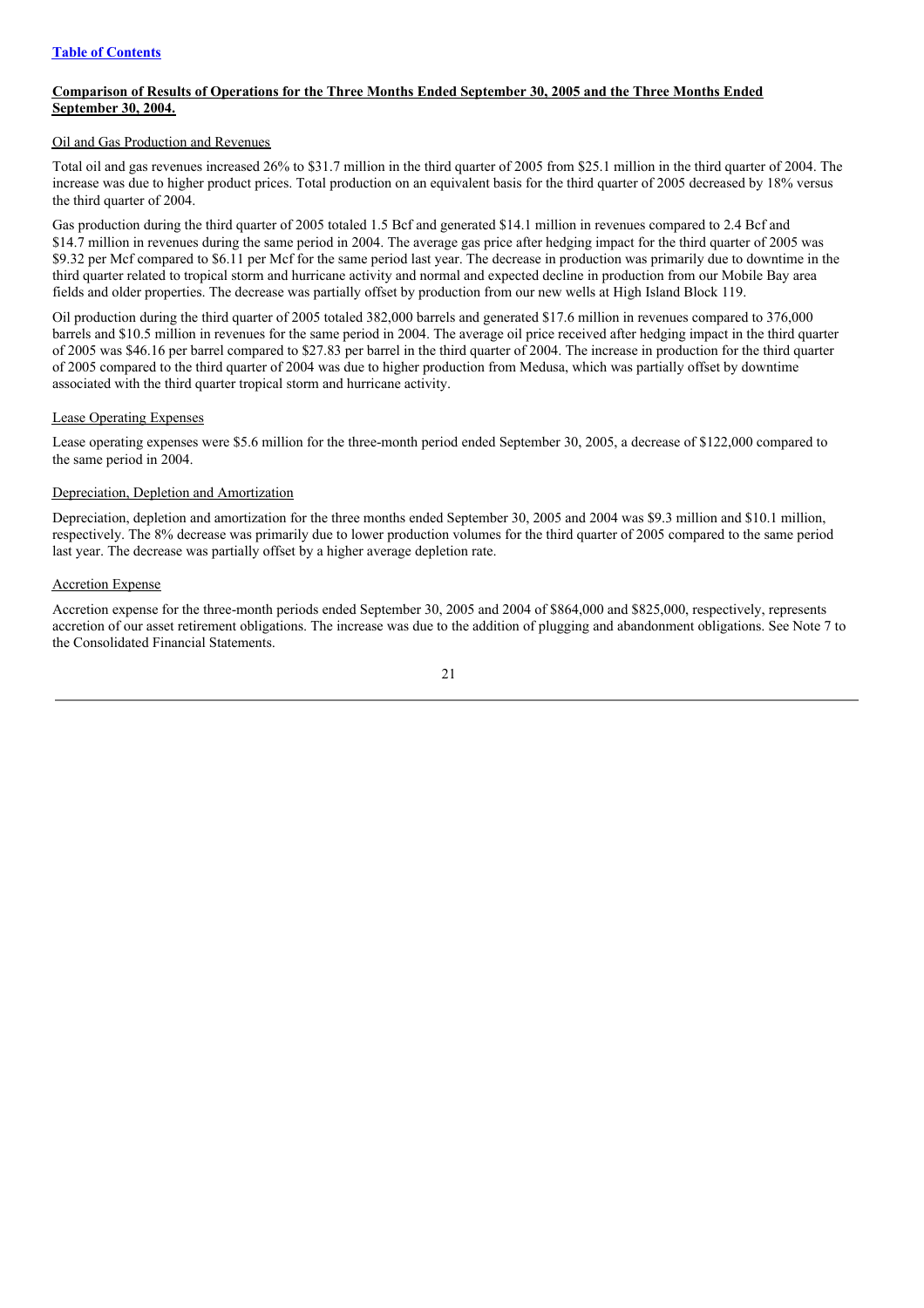# Comparison of Results of Operations for the Three Months Ended September 30, 2005 and the Three Months Ended **September 30, 2004.**

# Oil and Gas Production and Revenues

Total oil and gas revenues increased 26% to \$31.7 million in the third quarter of 2005 from \$25.1 million in the third quarter of 2004. The increase was due to higher product prices. Total production on an equivalent basis for the third quarter of 2005 decreased by 18% versus the third quarter of 2004.

Gas production during the third quarter of 2005 totaled 1.5 Bcf and generated \$14.1 million in revenues compared to 2.4 Bcf and \$14.7 million in revenues during the same period in 2004. The average gas price after hedging impact for the third quarter of 2005 was \$9.32 per Mcf compared to \$6.11 per Mcf for the same period last year. The decrease in production was primarily due to downtime in the third quarter related to tropical storm and hurricane activity and normal and expected decline in production from our Mobile Bay area fields and older properties. The decrease was partially offset by production from our new wells at High Island Block 119.

Oil production during the third quarter of 2005 totaled 382,000 barrels and generated \$17.6 million in revenues compared to 376,000 barrels and \$10.5 million in revenues for the same period in 2004. The average oil price received after hedging impact in the third quarter of 2005 was \$46.16 per barrel compared to \$27.83 per barrel in the third quarter of 2004. The increase in production for the third quarter of 2005 compared to the third quarter of 2004 was due to higher production from Medusa, which was partially offset by downtime associated with the third quarter tropical storm and hurricane activity.

# Lease Operating Expenses

Lease operating expenses were \$5.6 million for the three-month period ended September 30, 2005, a decrease of \$122,000 compared to the same period in 2004.

#### Depreciation, Depletion and Amortization

Depreciation, depletion and amortization for the three months ended September 30, 2005 and 2004 was \$9.3 million and \$10.1 million, respectively. The 8% decrease was primarily due to lower production volumes for the third quarter of 2005 compared to the same period last year. The decrease was partially offset by a higher average depletion rate.

# Accretion Expense

Accretion expense for the three-month periods ended September 30, 2005 and 2004 of \$864,000 and \$825,000, respectively, represents accretion of our asset retirement obligations. The increase was due to the addition of plugging and abandonment obligations. See Note 7 to the Consolidated Financial Statements.

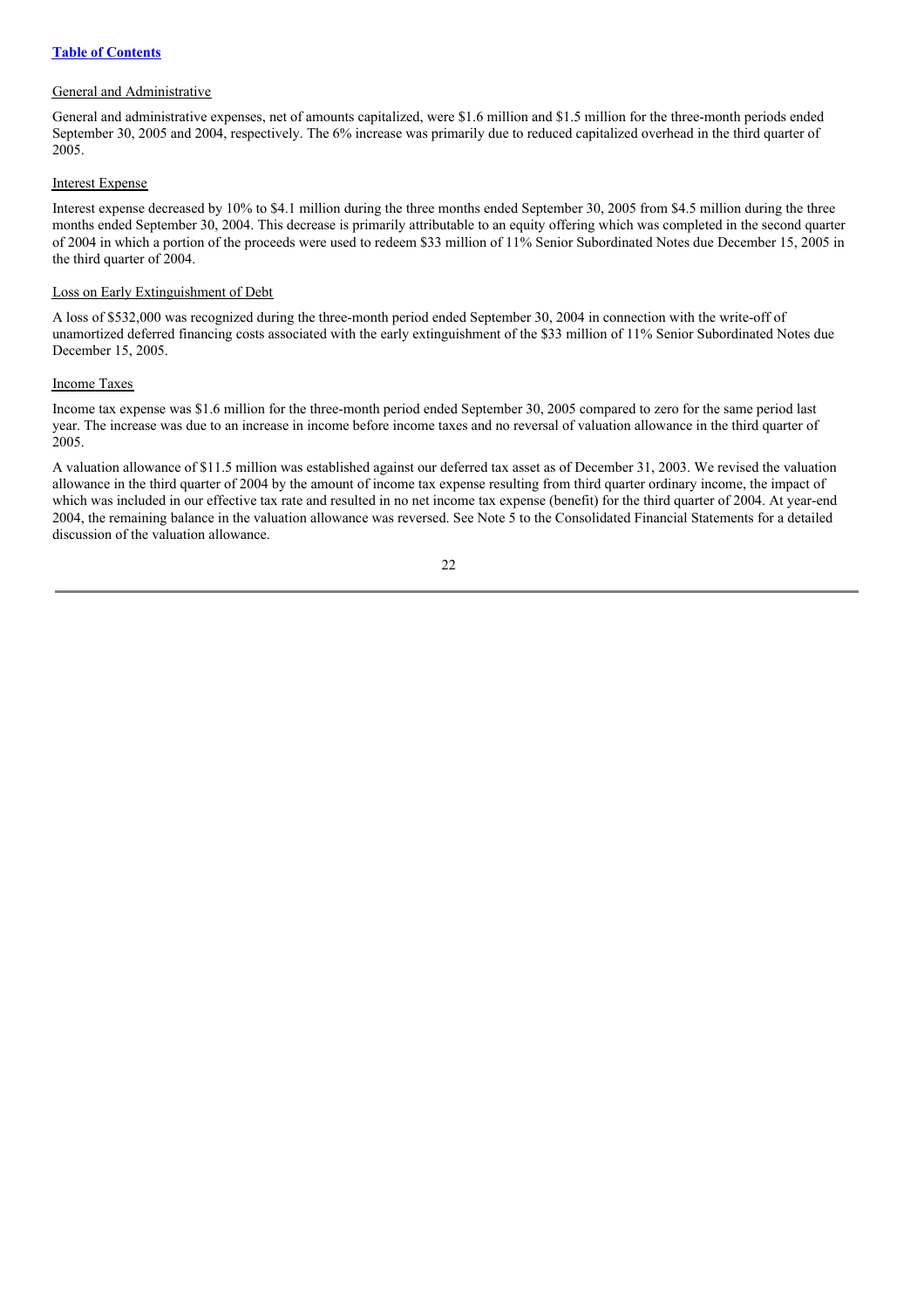# General and Administrative

General and administrative expenses, net of amounts capitalized, were \$1.6 million and \$1.5 million for the three-month periods ended September 30, 2005 and 2004, respectively. The 6% increase was primarily due to reduced capitalized overhead in the third quarter of 2005.

# Interest Expense

Interest expense decreased by 10% to \$4.1 million during the three months ended September 30, 2005 from \$4.5 million during the three months ended September 30, 2004. This decrease is primarily attributable to an equity offering which was completed in the second quarter of 2004 in which a portion of the proceeds were used to redeem \$33 million of 11% Senior Subordinated Notes due December 15, 2005 in the third quarter of 2004.

# Loss on Early Extinguishment of Debt

A loss of \$532,000 was recognized during the three-month period ended September 30, 2004 in connection with the write-off of unamortized deferred financing costs associated with the early extinguishment of the \$33 million of 11% Senior Subordinated Notes due December 15, 2005.

# Income Taxes

Income tax expense was \$1.6 million for the three-month period ended September 30, 2005 compared to zero for the same period last year. The increase was due to an increase in income before income taxes and no reversal of valuation allowance in the third quarter of 2005.

A valuation allowance of \$11.5 million was established against our deferred tax asset as of December 31, 2003. We revised the valuation allowance in the third quarter of 2004 by the amount of income tax expense resulting from third quarter ordinary income, the impact of which was included in our effective tax rate and resulted in no net income tax expense (benefit) for the third quarter of 2004. At year-end 2004, the remaining balance in the valuation allowance was reversed. See Note 5 to the Consolidated Financial Statements for a detailed discussion of the valuation allowance.

22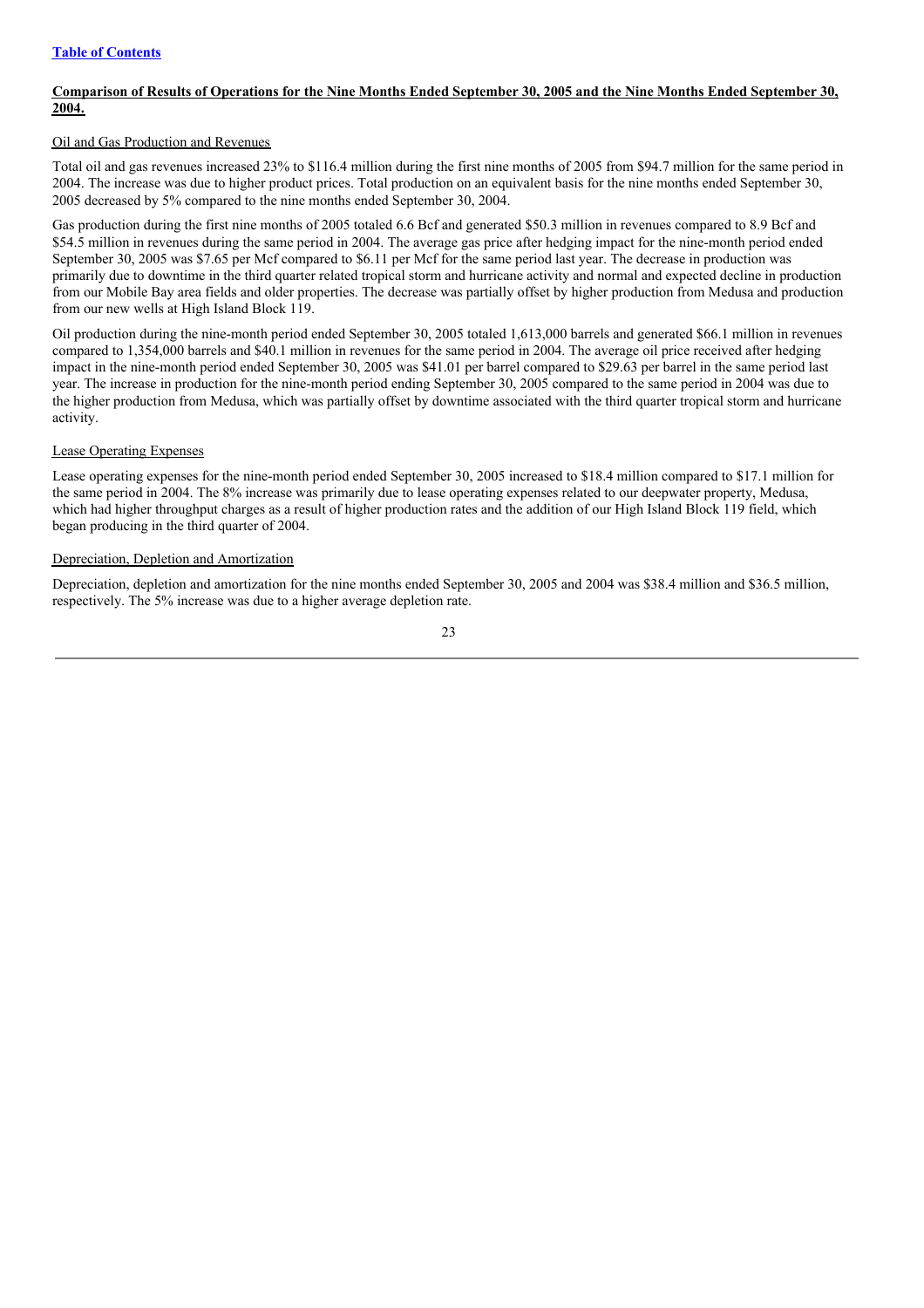# Comparison of Results of Operations for the Nine Months Ended September 30, 2005 and the Nine Months Ended September 30, **2004.**

# Oil and Gas Production and Revenues

Total oil and gas revenues increased 23% to \$116.4 million during the first nine months of 2005 from \$94.7 million for the same period in 2004. The increase was due to higher product prices. Total production on an equivalent basis for the nine months ended September 30, 2005 decreased by 5% compared to the nine months ended September 30, 2004.

Gas production during the first nine months of 2005 totaled 6.6 Bcf and generated \$50.3 million in revenues compared to 8.9 Bcf and \$54.5 million in revenues during the same period in 2004. The average gas price after hedging impact for the nine-month period ended September 30, 2005 was \$7.65 per Mcf compared to \$6.11 per Mcf for the same period last year. The decrease in production was primarily due to downtime in the third quarter related tropical storm and hurricane activity and normal and expected decline in production from our Mobile Bay area fields and older properties. The decrease was partially offset by higher production from Medusa and production from our new wells at High Island Block 119.

Oil production during the nine-month period ended September 30, 2005 totaled 1,613,000 barrels and generated \$66.1 million in revenues compared to 1,354,000 barrels and \$40.1 million in revenues for the same period in 2004. The average oil price received after hedging impact in the nine-month period ended September 30, 2005 was \$41.01 per barrel compared to \$29.63 per barrel in the same period last year. The increase in production for the nine-month period ending September 30, 2005 compared to the same period in 2004 was due to the higher production from Medusa, which was partially offset by downtime associated with the third quarter tropical storm and hurricane activity.

# Lease Operating Expenses

Lease operating expenses for the nine-month period ended September 30, 2005 increased to \$18.4 million compared to \$17.1 million for the same period in 2004. The 8% increase was primarily due to lease operating expenses related to our deepwater property, Medusa, which had higher throughput charges as a result of higher production rates and the addition of our High Island Block 119 field, which began producing in the third quarter of 2004.

# Depreciation, Depletion and Amortization

Depreciation, depletion and amortization for the nine months ended September 30, 2005 and 2004 was \$38.4 million and \$36.5 million, respectively. The 5% increase was due to a higher average depletion rate.

23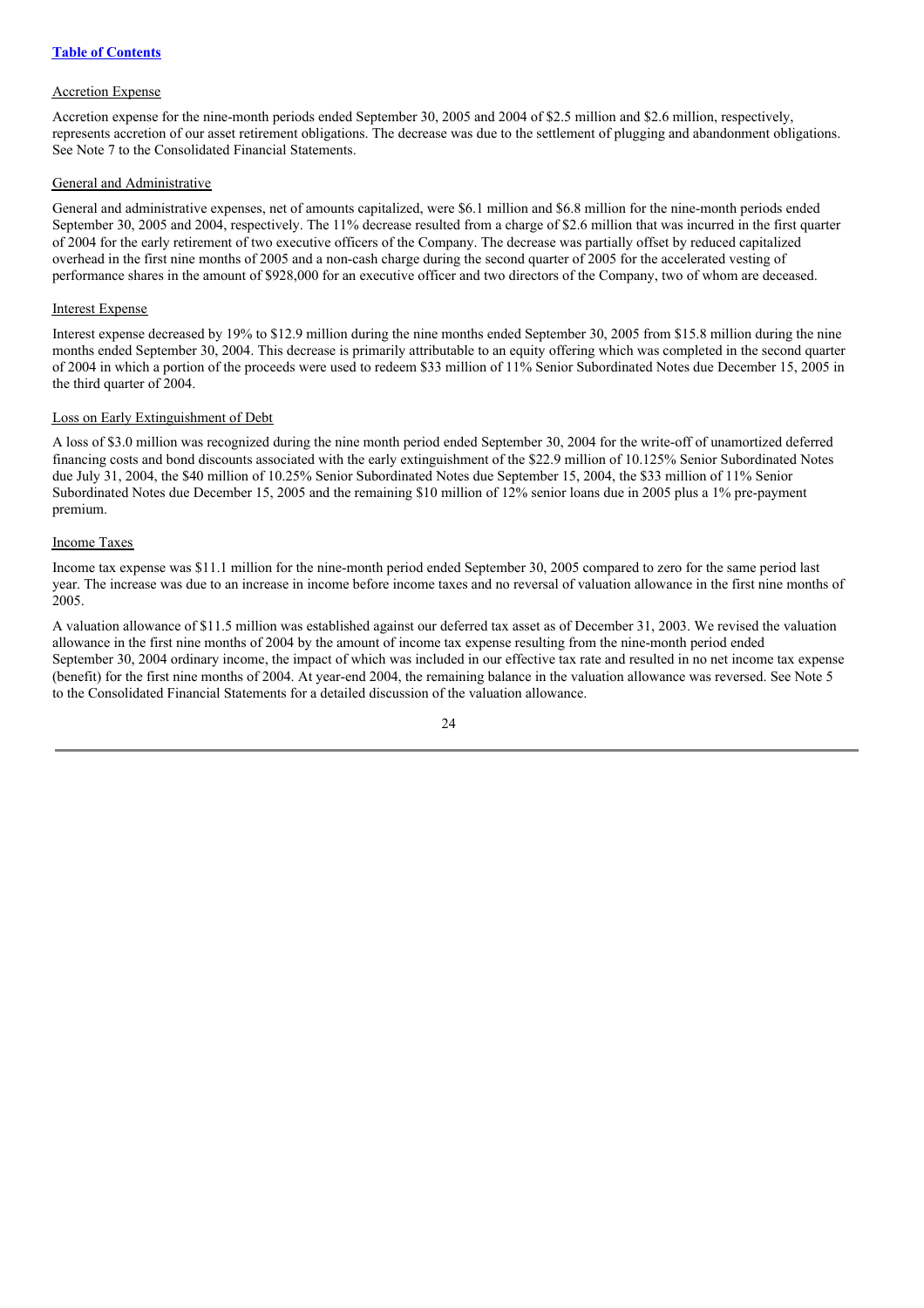# Accretion Expense

Accretion expense for the nine-month periods ended September 30, 2005 and 2004 of \$2.5 million and \$2.6 million, respectively, represents accretion of our asset retirement obligations. The decrease was due to the settlement of plugging and abandonment obligations. See Note 7 to the Consolidated Financial Statements.

# General and Administrative

General and administrative expenses, net of amounts capitalized, were \$6.1 million and \$6.8 million for the nine-month periods ended September 30, 2005 and 2004, respectively. The 11% decrease resulted from a charge of \$2.6 million that was incurred in the first quarter of 2004 for the early retirement of two executive officers of the Company. The decrease was partially offset by reduced capitalized overhead in the first nine months of 2005 and a non-cash charge during the second quarter of 2005 for the accelerated vesting of performance shares in the amount of \$928,000 for an executive officer and two directors of the Company, two of whom are deceased.

#### Interest Expense

Interest expense decreased by 19% to \$12.9 million during the nine months ended September 30, 2005 from \$15.8 million during the nine months ended September 30, 2004. This decrease is primarily attributable to an equity offering which was completed in the second quarter of 2004 in which a portion of the proceeds were used to redeem \$33 million of 11% Senior Subordinated Notes due December 15, 2005 in the third quarter of 2004.

# Loss on Early Extinguishment of Debt

A loss of \$3.0 million was recognized during the nine month period ended September 30, 2004 for the write-off of unamortized deferred financing costs and bond discounts associated with the early extinguishment of the \$22.9 million of 10.125% Senior Subordinated Notes due July 31, 2004, the \$40 million of 10.25% Senior Subordinated Notes due September 15, 2004, the \$33 million of 11% Senior Subordinated Notes due December 15, 2005 and the remaining \$10 million of 12% senior loans due in 2005 plus a 1% pre-payment premium.

#### Income Taxes

Income tax expense was \$11.1 million for the nine-month period ended September 30, 2005 compared to zero for the same period last year. The increase was due to an increase in income before income taxes and no reversal of valuation allowance in the first nine months of 2005.

A valuation allowance of \$11.5 million was established against our deferred tax asset as of December 31, 2003. We revised the valuation allowance in the first nine months of 2004 by the amount of income tax expense resulting from the nine-month period ended September 30, 2004 ordinary income, the impact of which was included in our effective tax rate and resulted in no net income tax expense (benefit) for the first nine months of 2004. At year-end 2004, the remaining balance in the valuation allowance was reversed. See Note 5 to the Consolidated Financial Statements for a detailed discussion of the valuation allowance.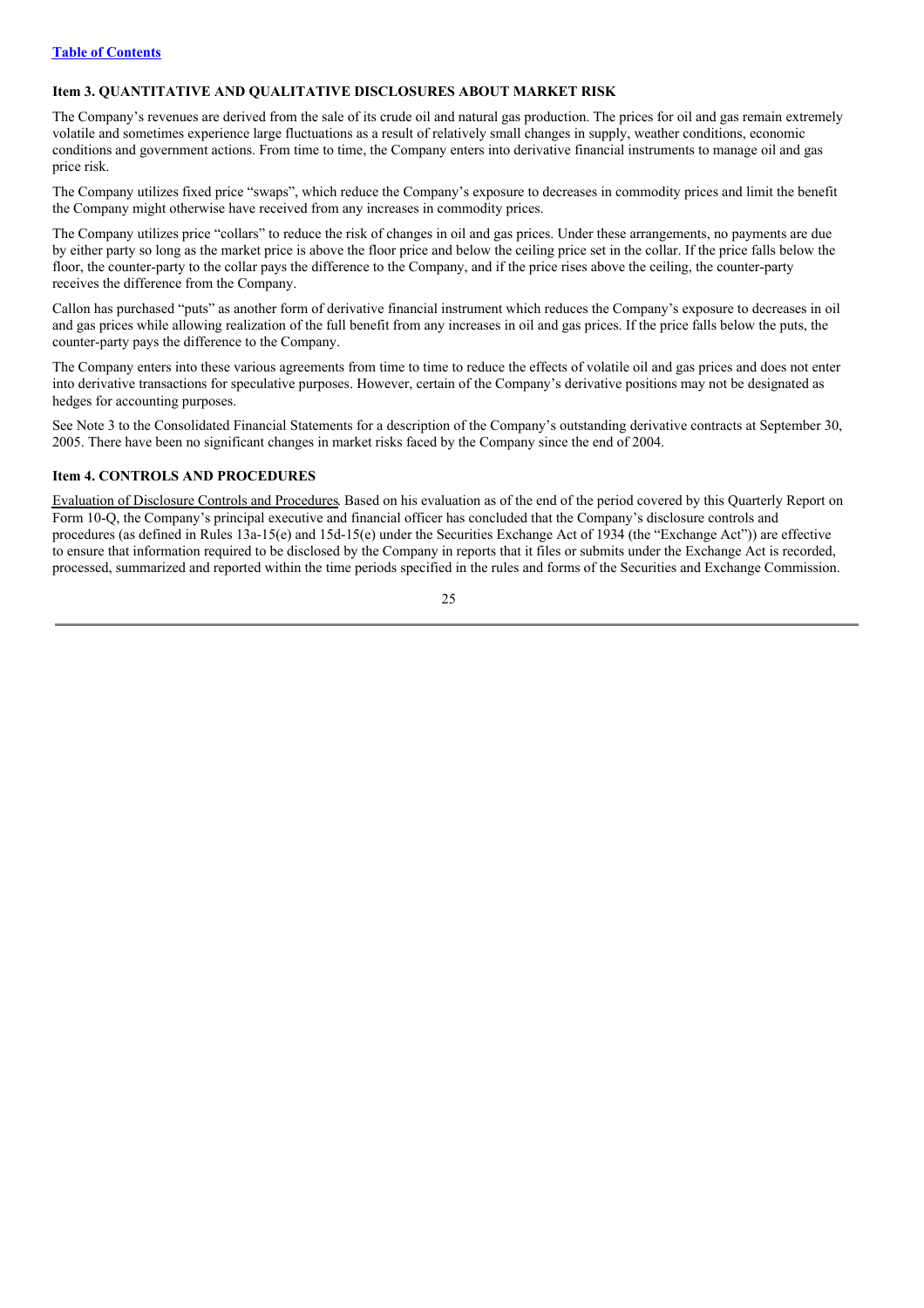# **Item 3. QUANTITATIVE AND QUALITATIVE DISCLOSURES ABOUT MARKET RISK**

The Company's revenues are derived from the sale of its crude oil and natural gas production. The prices for oil and gas remain extremely volatile and sometimes experience large fluctuations as a result of relatively small changes in supply, weather conditions, economic conditions and government actions. From time to time, the Company enters into derivative financial instruments to manage oil and gas price risk.

The Company utilizes fixed price "swaps", which reduce the Company's exposure to decreases in commodity prices and limit the benefit the Company might otherwise have received from any increases in commodity prices.

The Company utilizes price "collars" to reduce the risk of changes in oil and gas prices. Under these arrangements, no payments are due by either party so long as the market price is above the floor price and below the ceiling price set in the collar. If the price falls below the floor, the counter-party to the collar pays the difference to the Company, and if the price rises above the ceiling, the counter-party receives the difference from the Company.

Callon has purchased "puts" as another form of derivative financial instrument which reduces the Company's exposure to decreases in oil and gas prices while allowing realization of the full benefit from any increases in oil and gas prices. If the price falls below the puts, the counter-party pays the difference to the Company.

The Company enters into these various agreements from time to time to reduce the effects of volatile oil and gas prices and does not enter into derivative transactions for speculative purposes. However, certain of the Company's derivative positions may not be designated as hedges for accounting purposes.

See Note 3 to the Consolidated Financial Statements for a description of the Company's outstanding derivative contracts at September 30, 2005. There have been no significant changes in market risks faced by the Company since the end of 2004.

# **Item 4. CONTROLS AND PROCEDURES**

Evaluation of Disclosure Controls and Procedures. Based on his evaluation as of the end of the period covered by this Quarterly Report on Form 10-Q, the Company's principal executive and financial officer has concluded that the Company's disclosure controls and procedures (as defined in Rules 13a-15(e) and 15d-15(e) under the Securities Exchange Act of 1934 (the "Exchange Act")) are effective to ensure that information required to be disclosed by the Company in reports that it files or submits under the Exchange Act is recorded, processed, summarized and reported within the time periods specified in the rules and forms of the Securities and Exchange Commission.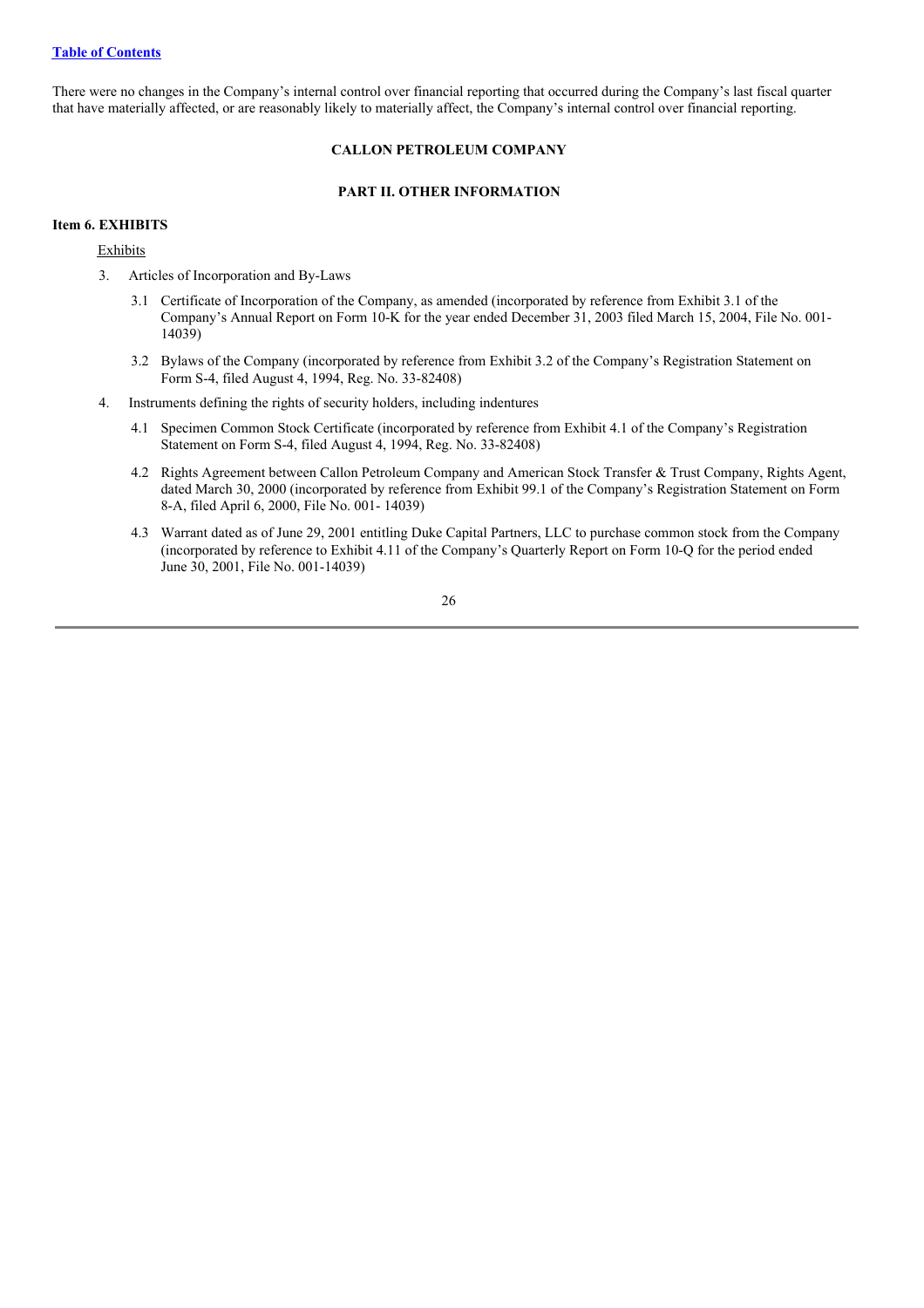There were no changes in the Company's internal control over financial reporting that occurred during the Company's last fiscal quarter that have materially affected, or are reasonably likely to materially affect, the Company's internal control over financial reporting.

# **CALLON PETROLEUM COMPANY**

#### **PART II. OTHER INFORMATION**

# **Item 6. EXHIBITS**

Exhibits

- 3. Articles of Incorporation and By-Laws
	- 3.1 Certificate of Incorporation of the Company, as amended (incorporated by reference from Exhibit 3.1 of the Company's Annual Report on Form 10-K for the year ended December 31, 2003 filed March 15, 2004, File No. 001- 14039)
	- 3.2 Bylaws of the Company (incorporated by reference from Exhibit 3.2 of the Company's Registration Statement on Form S-4, filed August 4, 1994, Reg. No. 33-82408)
- 4. Instruments defining the rights of security holders, including indentures
	- 4.1 Specimen Common Stock Certificate (incorporated by reference from Exhibit 4.1 of the Company's Registration Statement on Form S-4, filed August 4, 1994, Reg. No. 33-82408)
	- 4.2 Rights Agreement between Callon Petroleum Company and American Stock Transfer & Trust Company, Rights Agent, dated March 30, 2000 (incorporated by reference from Exhibit 99.1 of the Company's Registration Statement on Form 8-A, filed April 6, 2000, File No. 001- 14039)
	- 4.3 Warrant dated as of June 29, 2001 entitling Duke Capital Partners, LLC to purchase common stock from the Company (incorporated by reference to Exhibit 4.11 of the Company's Quarterly Report on Form 10-Q for the period ended June 30, 2001, File No. 001-14039)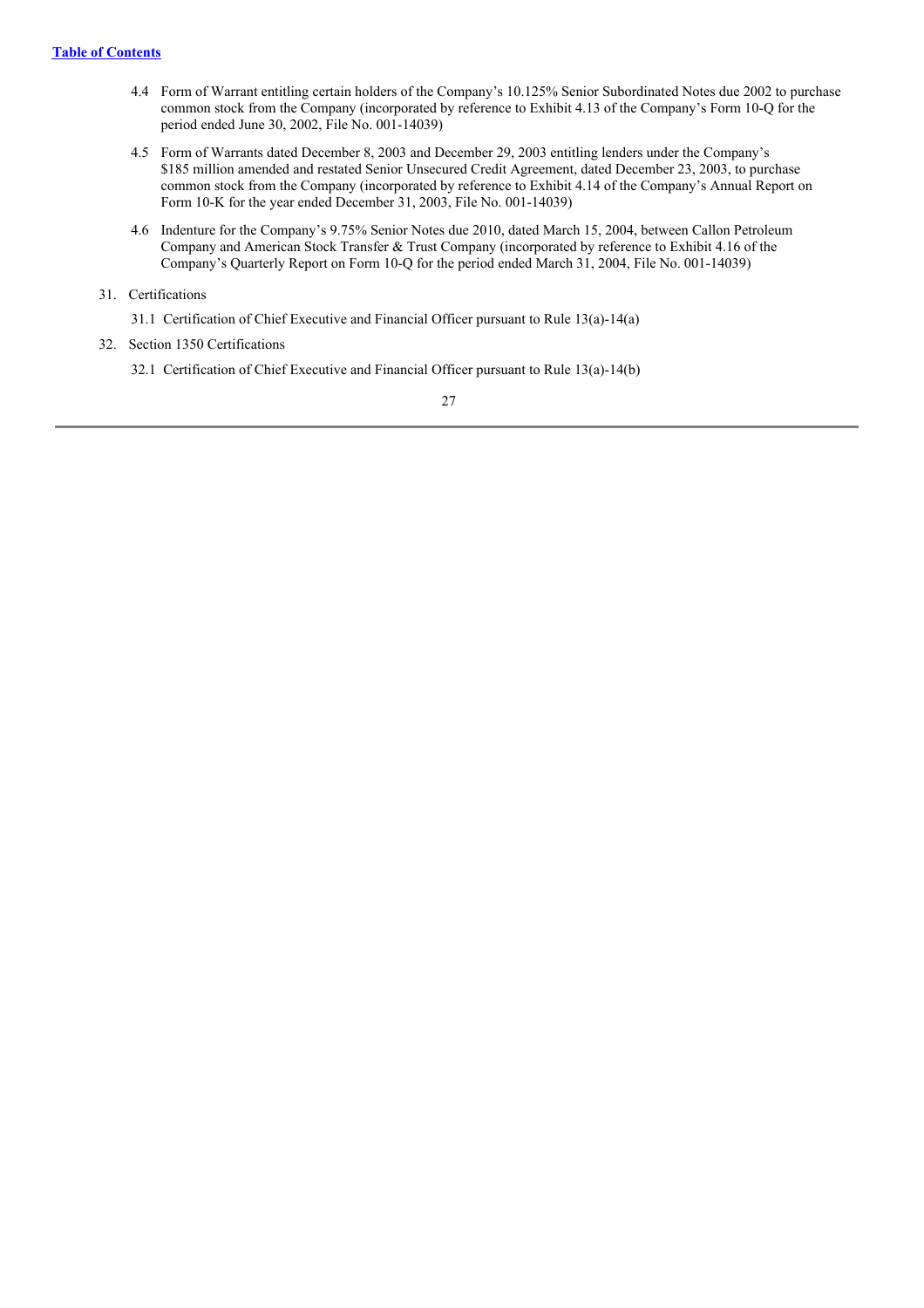- 4.4 Form of Warrant entitling certain holders of the Company's 10.125% Senior Subordinated Notes due 2002 to purchase common stock from the Company (incorporated by reference to Exhibit 4.13 of the Company's Form 10-Q for the period ended June 30, 2002, File No. 001-14039)
- 4.5 Form of Warrants dated December 8, 2003 and December 29, 2003 entitling lenders under the Company's \$185 million amended and restated Senior Unsecured Credit Agreement, dated December 23, 2003, to purchase common stock from the Company (incorporated by reference to Exhibit 4.14 of the Company's Annual Report on Form 10-K for the year ended December 31, 2003, File No. 001-14039)
- 4.6 Indenture for the Company's 9.75% Senior Notes due 2010, dated March 15, 2004, between Callon Petroleum Company and American Stock Transfer & Trust Company (incorporated by reference to Exhibit 4.16 of the Company's Quarterly Report on Form 10-Q for the period ended March 31, 2004, File No. 001-14039)
- 31. Certifications
	- 31.1 Certification of Chief Executive and Financial Officer pursuant to Rule 13(a)-14(a)
- 32. Section 1350 Certifications
	- 32.1 Certification of Chief Executive and Financial Officer pursuant to Rule 13(a)-14(b)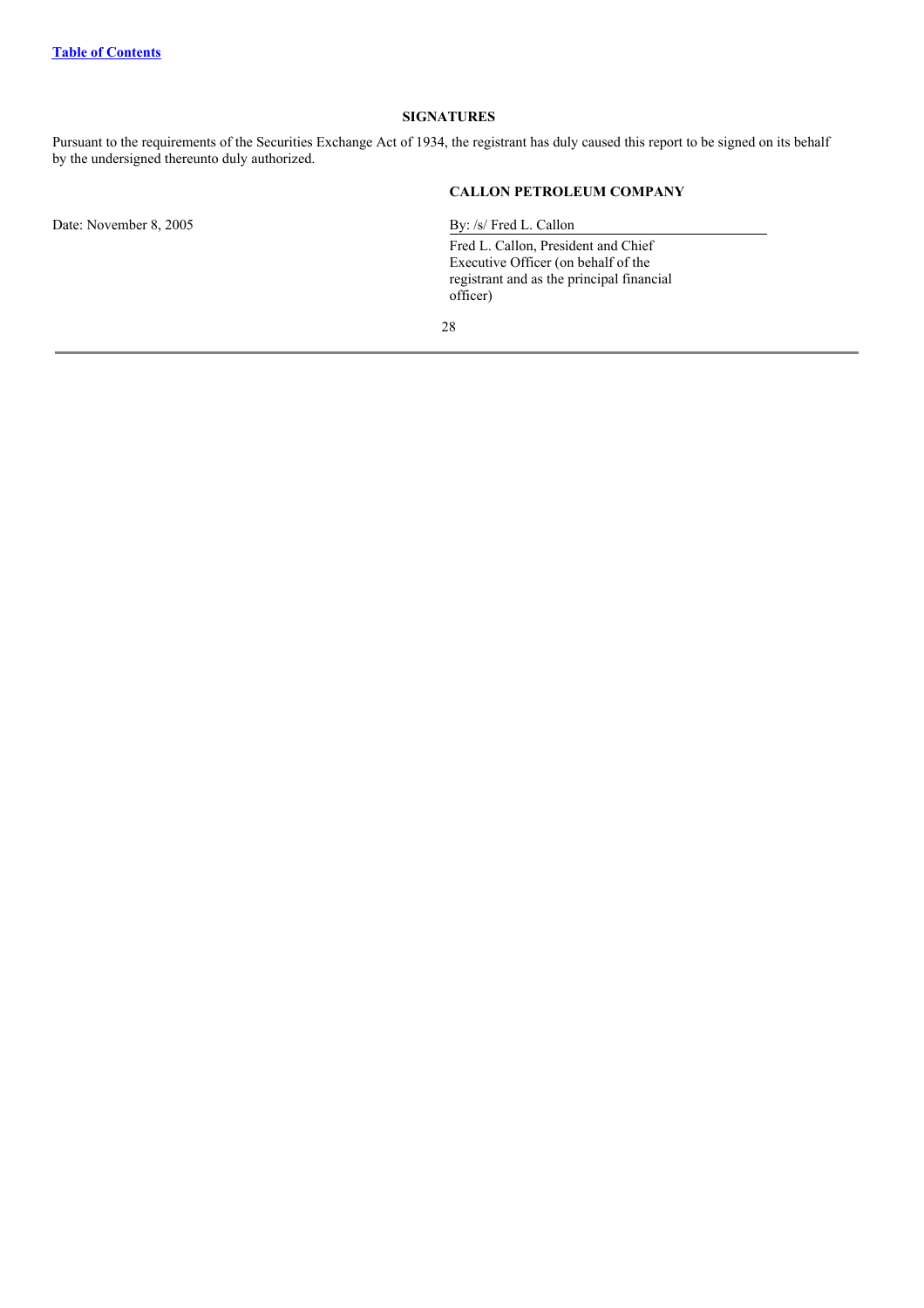# **SIGNATURES**

Pursuant to the requirements of the Securities Exchange Act of 1934, the registrant has duly caused this report to be signed on its behalf by the undersigned thereunto duly authorized.

**CALLON PETROLEUM COMPANY**

Date: November 8, 2005 By: /s/ Fred L. Callon

Fred L. Callon, President and Chief Executive Officer (on behalf of the registrant and as the principal financial officer)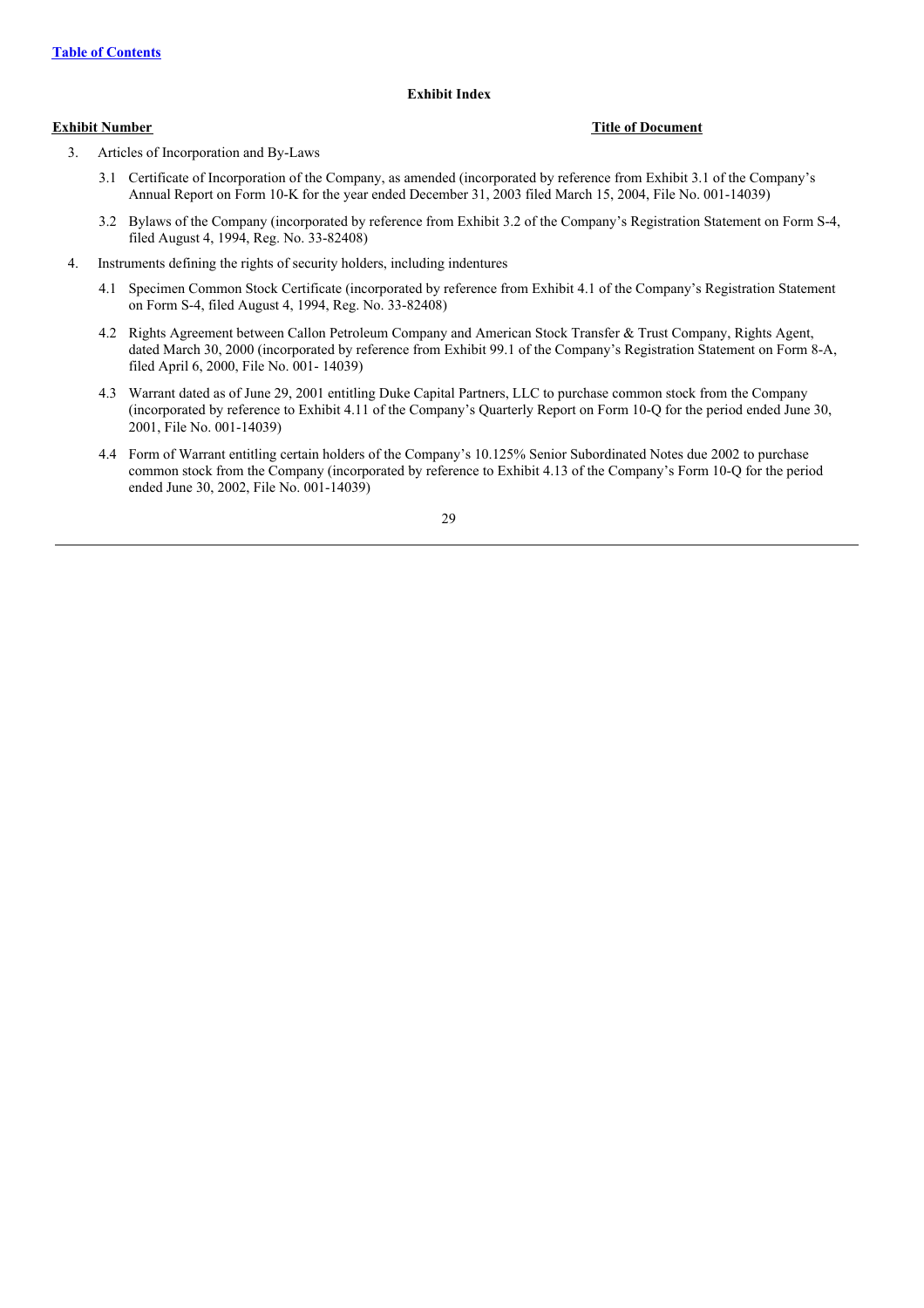# **Exhibit Index**

# **Exhibit Number Title of Document**

- 3. Articles of Incorporation and By-Laws
	- 3.1 Certificate of Incorporation of the Company, as amended (incorporated by reference from Exhibit 3.1 of the Company's Annual Report on Form 10-K for the year ended December 31, 2003 filed March 15, 2004, File No. 001-14039)
	- 3.2 Bylaws of the Company (incorporated by reference from Exhibit 3.2 of the Company's Registration Statement on Form S-4, filed August 4, 1994, Reg. No. 33-82408)
- 4. Instruments defining the rights of security holders, including indentures
	- 4.1 Specimen Common Stock Certificate (incorporated by reference from Exhibit 4.1 of the Company's Registration Statement on Form S-4, filed August 4, 1994, Reg. No. 33-82408)
	- 4.2 Rights Agreement between Callon Petroleum Company and American Stock Transfer & Trust Company, Rights Agent, dated March 30, 2000 (incorporated by reference from Exhibit 99.1 of the Company's Registration Statement on Form 8-A, filed April 6, 2000, File No. 001- 14039)
	- 4.3 Warrant dated as of June 29, 2001 entitling Duke Capital Partners, LLC to purchase common stock from the Company (incorporated by reference to Exhibit 4.11 of the Company's Quarterly Report on Form 10-Q for the period ended June 30, 2001, File No. 001-14039)
	- 4.4 Form of Warrant entitling certain holders of the Company's 10.125% Senior Subordinated Notes due 2002 to purchase common stock from the Company (incorporated by reference to Exhibit 4.13 of the Company's Form 10-Q for the period ended June 30, 2002, File No. 001-14039)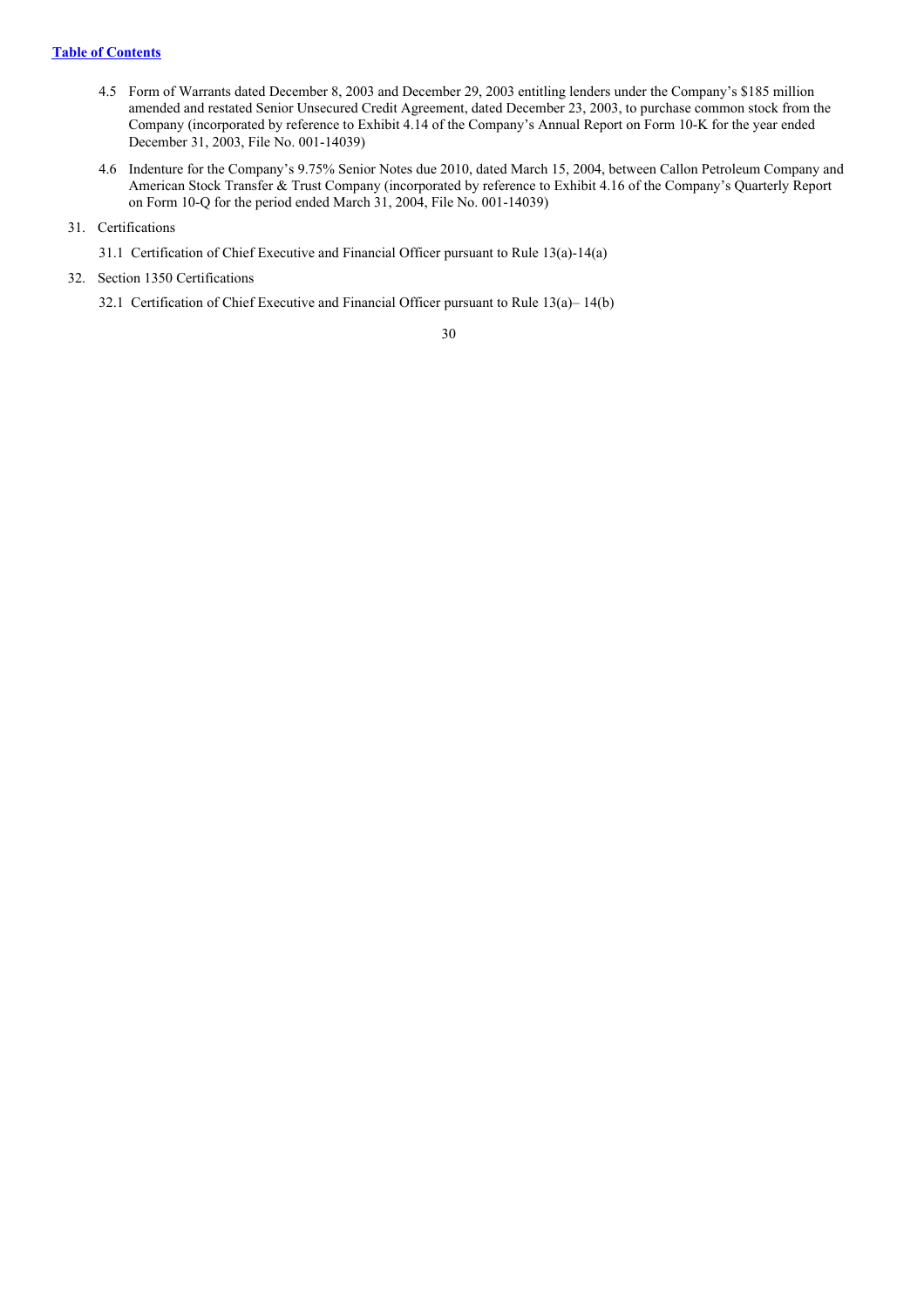- 4.5 Form of Warrants dated December 8, 2003 and December 29, 2003 entitling lenders under the Company's \$185 million amended and restated Senior Unsecured Credit Agreement, dated December 23, 2003, to purchase common stock from the Company (incorporated by reference to Exhibit 4.14 of the Company's Annual Report on Form 10-K for the year ended December 31, 2003, File No. 001-14039)
- 4.6 Indenture for the Company's 9.75% Senior Notes due 2010, dated March 15, 2004, between Callon Petroleum Company and American Stock Transfer & Trust Company (incorporated by reference to Exhibit 4.16 of the Company's Quarterly Report on Form 10-Q for the period ended March 31, 2004, File No. 001-14039)
- 31. Certifications
	- 31.1 Certification of Chief Executive and Financial Officer pursuant to Rule 13(a)-14(a)
- 32. Section 1350 Certifications
	- 32.1 Certification of Chief Executive and Financial Officer pursuant to Rule 13(a)– 14(b)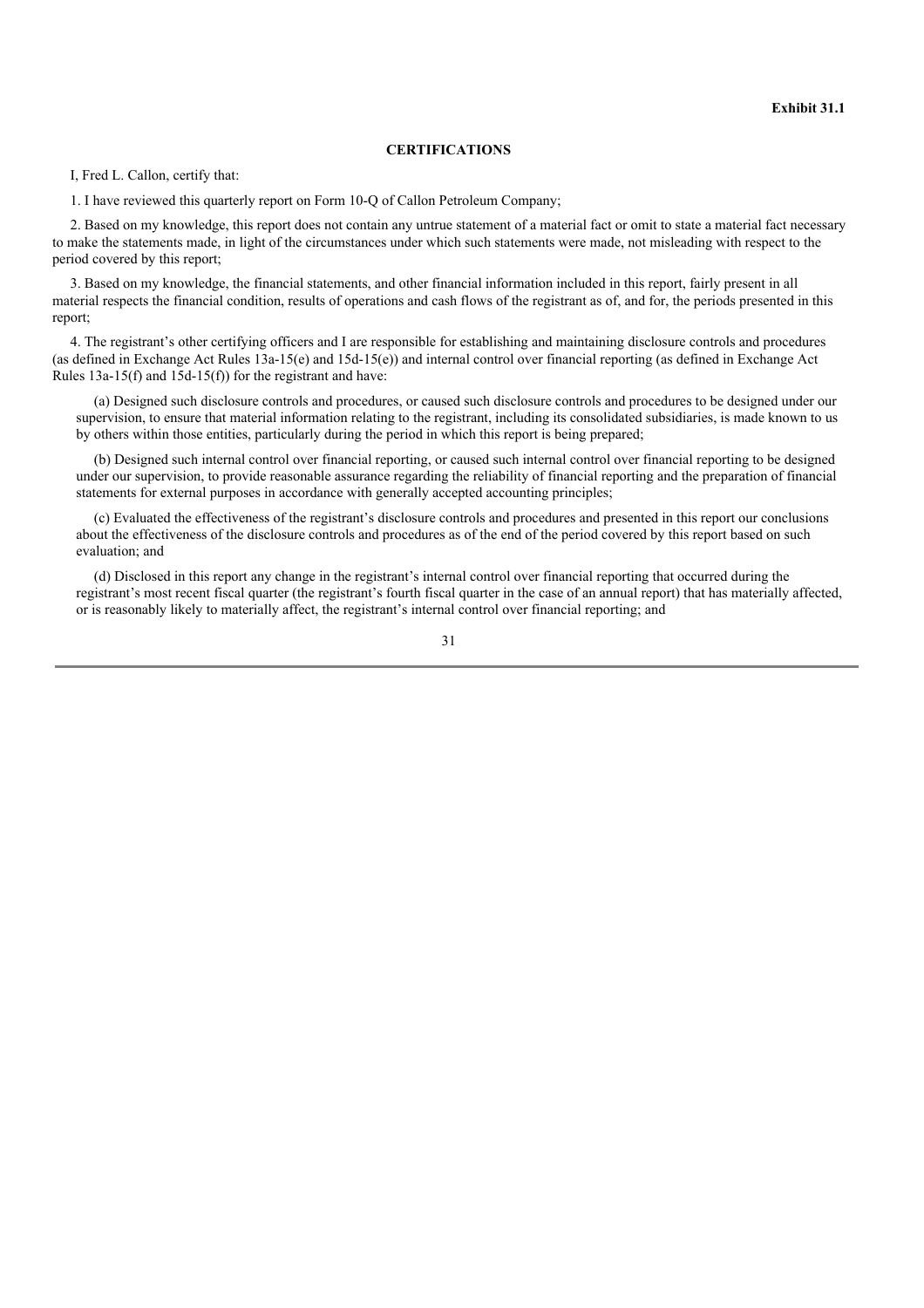# **CERTIFICATIONS**

<span id="page-30-0"></span>I, Fred L. Callon, certify that:

1. I have reviewed this quarterly report on Form 10-Q of Callon Petroleum Company;

2. Based on my knowledge, this report does not contain any untrue statement of a material fact or omit to state a material fact necessary to make the statements made, in light of the circumstances under which such statements were made, not misleading with respect to the period covered by this report;

3. Based on my knowledge, the financial statements, and other financial information included in this report, fairly present in all material respects the financial condition, results of operations and cash flows of the registrant as of, and for, the periods presented in this report;

4. The registrant's other certifying officers and I are responsible for establishing and maintaining disclosure controls and procedures (as defined in Exchange Act Rules 13a-15(e) and 15d-15(e)) and internal control over financial reporting (as defined in Exchange Act Rules 13a-15(f) and 15d-15(f)) for the registrant and have:

(a) Designed such disclosure controls and procedures, or caused such disclosure controls and procedures to be designed under our supervision, to ensure that material information relating to the registrant, including its consolidated subsidiaries, is made known to us by others within those entities, particularly during the period in which this report is being prepared;

(b) Designed such internal control over financial reporting, or caused such internal control over financial reporting to be designed under our supervision, to provide reasonable assurance regarding the reliability of financial reporting and the preparation of financial statements for external purposes in accordance with generally accepted accounting principles;

(c) Evaluated the effectiveness of the registrant's disclosure controls and procedures and presented in this report our conclusions about the effectiveness of the disclosure controls and procedures as of the end of the period covered by this report based on such evaluation; and

(d) Disclosed in this report any change in the registrant's internal control over financial reporting that occurred during the registrant's most recent fiscal quarter (the registrant's fourth fiscal quarter in the case of an annual report) that has materially affected, or is reasonably likely to materially affect, the registrant's internal control over financial reporting; and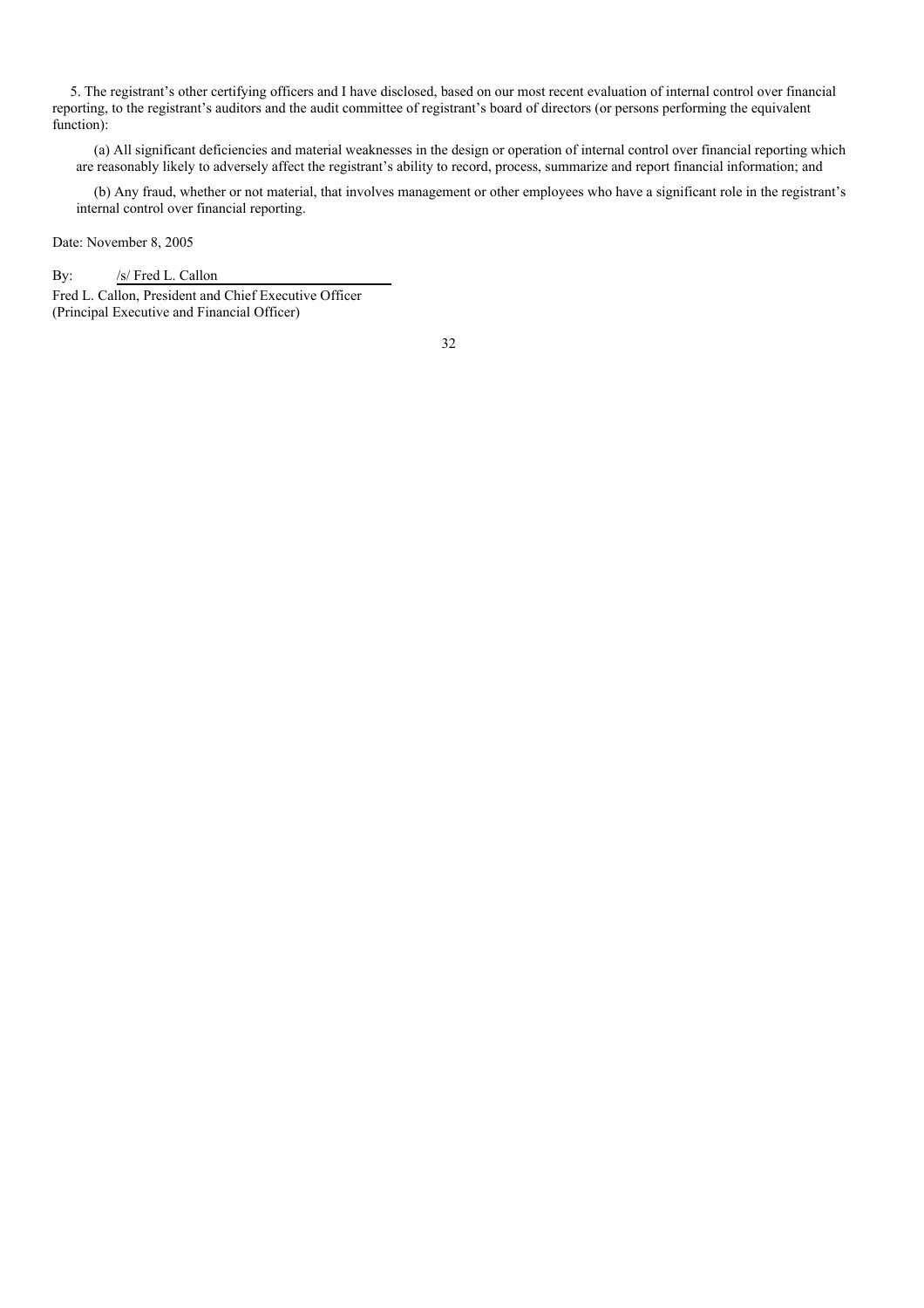5. The registrant's other certifying officers and I have disclosed, based on our most recent evaluation of internal control over financial reporting, to the registrant's auditors and the audit committee of registrant's board of directors (or persons performing the equivalent function):

(a) All significant deficiencies and material weaknesses in the design or operation of internal control over financial reporting which are reasonably likely to adversely affect the registrant's ability to record, process, summarize and report financial information; and

(b) Any fraud, whether or not material, that involves management or other employees who have a significant role in the registrant's internal control over financial reporting.

Date: November 8, 2005

By: /s/ Fred L. Callon

Fred L. Callon, President and Chief Executive Officer (Principal Executive and Financial Officer)